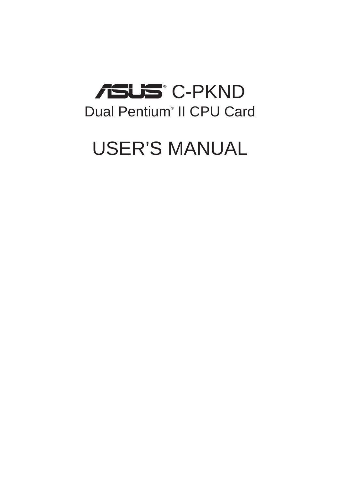# **C-PKND** Dual Pentium<sup>®</sup> II CPU Card

# USER'S MANUAL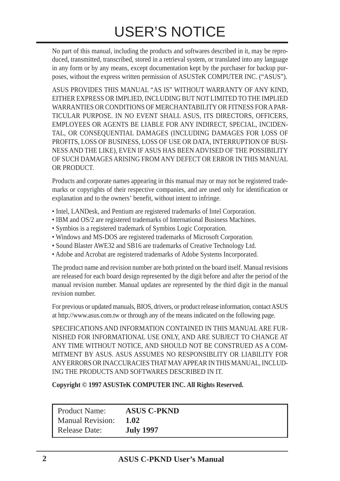# USER'S NOTICE

No part of this manual, including the products and softwares described in it, may be reproduced, transmitted, transcribed, stored in a retrieval system, or translated into any language in any form or by any means, except documentation kept by the purchaser for backup purposes, without the express written permission of ASUSTeK COMPUTER INC. ("ASUS").

ASUS PROVIDES THIS MANUAL "AS IS" WITHOUT WARRANTY OF ANY KIND, EITHER EXPRESS OR IMPLIED, INCLUDING BUT NOT LIMITED TO THE IMPLIED WARRANTIES OR CONDITIONS OF MERCHANTABILITY OR FITNESS FOR A PAR-TICULAR PURPOSE. IN NO EVENT SHALL ASUS, ITS DIRECTORS, OFFICERS, EMPLOYEES OR AGENTS BE LIABLE FOR ANY INDIRECT, SPECIAL, INCIDEN-TAL, OR CONSEQUENTIAL DAMAGES (INCLUDING DAMAGES FOR LOSS OF PROFITS, LOSS OF BUSINESS, LOSS OF USE OR DATA, INTERRUPTION OF BUSI-NESS AND THE LIKE), EVEN IF ASUS HAS BEEN ADVISED OF THE POSSIBILITY OF SUCH DAMAGES ARISING FROM ANY DEFECT OR ERROR IN THIS MANUAL OR PRODUCT.

Products and corporate names appearing in this manual may or may not be registered trademarks or copyrights of their respective companies, and are used only for identification or explanation and to the owners' benefit, without intent to infringe.

- Intel, LANDesk, and Pentium are registered trademarks of Intel Corporation.
- IBM and OS/2 are registered trademarks of International Business Machines.
- Symbios is a registered trademark of Symbios Logic Corporation.
- Windows and MS-DOS are registered trademarks of Microsoft Corporation.
- Sound Blaster AWE32 and SB16 are trademarks of Creative Technology Ltd.
- Adobe and Acrobat are registered trademarks of Adobe Systems Incorporated.

The product name and revision number are both printed on the board itself. Manual revisions are released for each board design represented by the digit before and after the period of the manual revision number. Manual updates are represented by the third digit in the manual revision number.

For previous or updated manuals, BIOS, drivers, or product release information, contact ASUS at http://www.asus.com.tw or through any of the means indicated on the following page.

SPECIFICATIONS AND INFORMATION CONTAINED IN THIS MANUAL ARE FUR-NISHED FOR INFORMATIONAL USE ONLY, AND ARE SUBJECT TO CHANGE AT ANY TIME WITHOUT NOTICE, AND SHOULD NOT BE CONSTRUED AS A COM-MITMENT BY ASUS. ASUS ASSUMES NO RESPONSIBLITY OR LIABILITY FOR ANY ERRORS OR INACCURACIES THAT MAY APPEAR IN THIS MANUAL, INCLUD-ING THE PRODUCTS AND SOFTWARES DESCRIBED IN IT.

**Copyright © 1997 ASUSTeK COMPUTER INC. All Rights Reserved.**

| <b>Product Name:</b>    | <b>ASUS C-PKND</b> |
|-------------------------|--------------------|
| <b>Manual Revision:</b> | 1.02               |
| <b>Release Date:</b>    | <b>July 1997</b>   |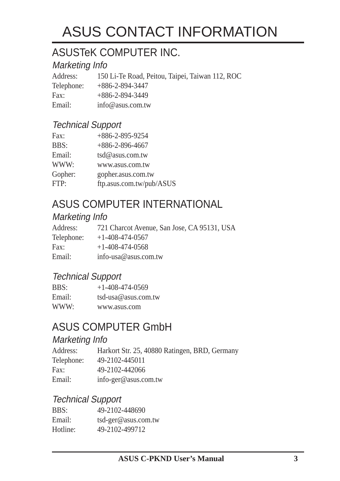# ASUS CONTACT INFORMATION

## ASUSTeK COMPUTER INC.

### Marketing Info

Address: 150 Li-Te Road, Peitou, Taipei, Taiwan 112, ROC Telephone: +886-2-894-3447 Fax: +886-2-894-3449 Email: info@asus.com.tw

### Technical Support

| Fax:    | $+886 - 2 - 895 - 9254$  |
|---------|--------------------------|
| BBS:    | $+886-2-896-4667$        |
| Email:  | tsd@asus.com.tw          |
| WWW:    | www.asus.com.tw          |
| Gopher: | gopher.asus.com.tw       |
| FTP:    | ftp.asus.com.tw/pub/ASUS |

## ASUS COMPUTER INTERNATIONAL

### Marketing Info

| Address:   | 721 Charcot Avenue, San Jose, CA 95131, USA |
|------------|---------------------------------------------|
| Telephone: | $+1-408-474-0567$                           |
| Fax:       | $+1-408-474-0568$                           |
| Email:     | info-usa@asus.com.tw                        |
|            |                                             |

### Technical Support

| BBS:   | $+1 - 408 - 474 - 0569$ |
|--------|-------------------------|
| Email: | $tsd-usa@assus.com.tw$  |
| WWW:   | www.asus.com            |

### ASUS COMPUTER GmbH

### Marketing Info

| Address:   | Harkort Str. 25, 40880 Ratingen, BRD, Germany |
|------------|-----------------------------------------------|
| Telephone: | 49-2102-445011                                |
| Fax:       | 49-2102-442066                                |
| Email:     | info-ger@asus.com.tw                          |

### Technical Support

| BBS:     | 49-2102-448690      |
|----------|---------------------|
| Email:   | tsd-ger@asus.com.tw |
| Hotline: | 49-2102-499712      |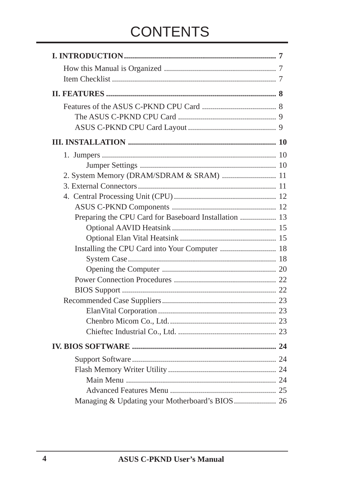# **CONTENTS**

| Preparing the CPU Card for Baseboard Installation  13 |  |
|-------------------------------------------------------|--|
|                                                       |  |
|                                                       |  |
|                                                       |  |
|                                                       |  |
|                                                       |  |
|                                                       |  |
|                                                       |  |
|                                                       |  |
|                                                       |  |
|                                                       |  |
|                                                       |  |
|                                                       |  |
|                                                       |  |
|                                                       |  |
|                                                       |  |
|                                                       |  |
|                                                       |  |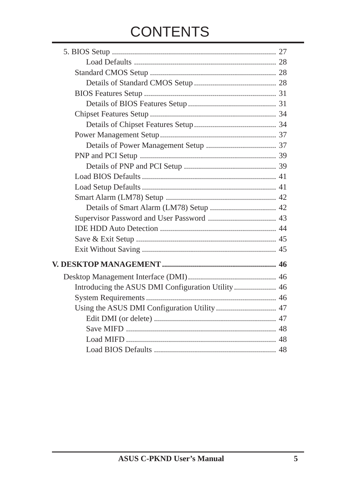# **CONTENTS**

| Introducing the ASUS DMI Configuration Utility 46 |  |
|---------------------------------------------------|--|
|                                                   |  |
|                                                   |  |
|                                                   |  |
|                                                   |  |
|                                                   |  |
|                                                   |  |
|                                                   |  |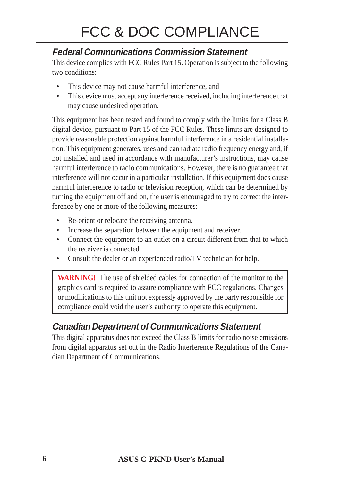### **Federal Communications Commission Statement**

This device complies with FCC Rules Part 15. Operation is subject to the following two conditions:

- This device may not cause harmful interference, and
- This device must accept any interference received, including interference that may cause undesired operation.

This equipment has been tested and found to comply with the limits for a Class B digital device, pursuant to Part 15 of the FCC Rules. These limits are designed to provide reasonable protection against harmful interference in a residential installation. This equipment generates, uses and can radiate radio frequency energy and, if not installed and used in accordance with manufacturer's instructions, may cause harmful interference to radio communications. However, there is no guarantee that interference will not occur in a particular installation. If this equipment does cause harmful interference to radio or television reception, which can be determined by turning the equipment off and on, the user is encouraged to try to correct the interference by one or more of the following measures:

- Re-orient or relocate the receiving antenna.
- Increase the separation between the equipment and receiver.
- Connect the equipment to an outlet on a circuit different from that to which the receiver is connected.
- Consult the dealer or an experienced radio/TV technician for help.

**WARNING!** The use of shielded cables for connection of the monitor to the graphics card is required to assure compliance with FCC regulations. Changes or modifications to this unit not expressly approved by the party responsible for compliance could void the user's authority to operate this equipment.

### **Canadian Department of Communications Statement**

This digital apparatus does not exceed the Class B limits for radio noise emissions from digital apparatus set out in the Radio Interference Regulations of the Canadian Department of Communications.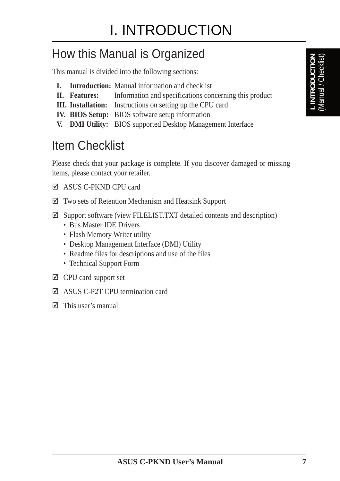# How this Manual is Organized

This manual is divided into the following sections:

- **I. Introduction:** Manual information and checklist
- **II. Features:** Information and specifications concerning this product
- **III. Installation:** Instructions on setting up the CPU card
- **IV. BIOS Setup:** BIOS software setup information
- **V. DMI Utility:** BIOS supported Desktop Management Interface

# Item Checklist

Please check that your package is complete. If you discover damaged or missing items, please contact your retailer.

- þ ASUS C-PKND CPU card
- $\boxtimes$  Two sets of Retention Mechanism and Heatsink Support
- $\boxtimes$  Support software (view FILELIST.TXT detailed contents and description)
	- Bus Master IDE Drivers
	- Flash Memory Writer utility
	- Desktop Management Interface (DMI) Utility
	- Readme files for descriptions and use of the files
	- Technical Support Form
- $\boxtimes$  CPU card support set
- $\boxtimes$  ASUS C-P2T CPU termination card
- $\boxtimes$  This user's manual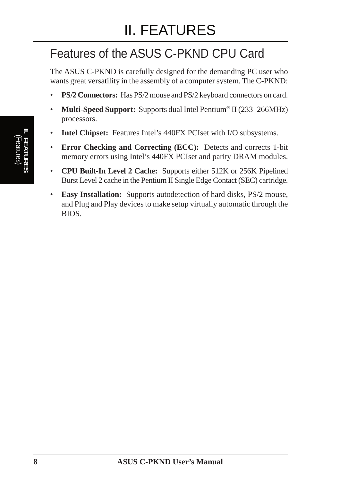# Features of the ASUS C-PKND CPU Card

The ASUS C-PKND is carefully designed for the demanding PC user who wants great versatility in the assembly of a computer system. The C-PKND:

- **PS/2 Connectors:** Has PS/2 mouse and PS/2 keyboard connectors on card.
- **Multi-Speed Support:** Supports dual Intel Pentium<sup>®</sup> II (233–266MHz) processors.
- **Intel Chipset:** Features Intel's 440FX PCIset with I/O subsystems.
- **Error Checking and Correcting (ECC):** Detects and corrects 1-bit memory errors using Intel's 440FX PCIset and parity DRAM modules.
- **CPU Built-In Level 2 Cache:** Supports either 512K or 256K Pipelined Burst Level 2 cache in the Pentium II Single Edge Contact (SEC) cartridge.
- **Easy Installation:** Supports autodetection of hard disks, PS/2 mouse, and Plug and Play devices to make setup virtually automatic through the BIOS.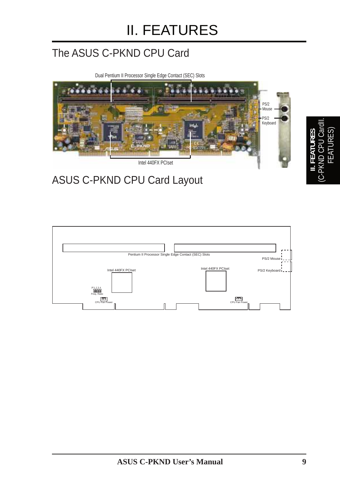# The ASUS C-PKND CPU Card

Dual Pentium II Processor Single Edge Contact (SEC) Slots



# ASUS C-PKND CPU Card Layout

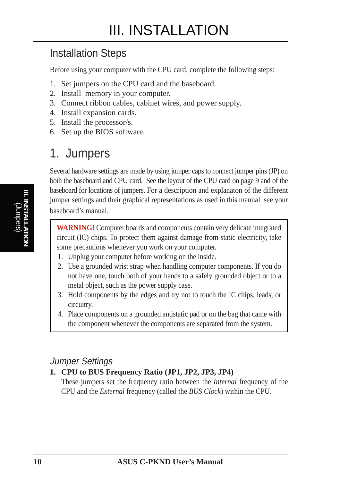### Installation Steps

Before using your computer with the CPU card, complete the following steps:

- 1. Set jumpers on the CPU card and the baseboard.
- 2. Install memory in your computer.
- 3. Connect ribbon cables, cabinet wires, and power supply.
- 4. Install expansion cards.
- 5. Install the processor/s.
- 6. Set up the BIOS software.

## 1. Jumpers

Several hardware settings are made by using jumper caps to connect jumper pins (JP) on both the baseboard and CPU card. See the layout of the CPU card on page 9 and of the baseboard for locations of jumpers. For a description and explanaton of the different jumper settings and their graphical representations as used in this manual. see your baseboard's manual.

**WARNING!** Computer boards and components contain very delicate integrated circuit (IC) chips. To protect them against damage from static electricity, take some precautions whenever you work on your computer.

- 1. Unplug your computer before working on the inside.
- 2. Use a grounded wrist strap when handling computer components. If you do not have one, touch both of your hands to a safely grounded object or to a metal object, such as the power supply case.
- 3. Hold components by the edges and try not to touch the IC chips, leads, or circuitry.
- 4. Place components on a grounded antistatic pad or on the bag that came with the component whenever the components are separated from the system.

### Jumper Settings

#### **1. CPU to BUS Frequency Ratio (JP1, JP2, JP3, JP4)**

These jumpers set the frequency ratio between the *Internal* frequency of the CPU and the *External* frequency (called the *BUS Clock*) within the CPU.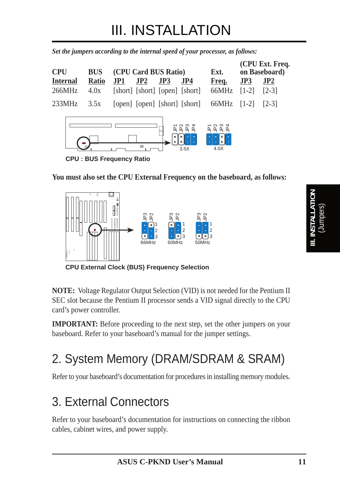*Set the jumpers according to the internal speed of your processor, as follows:*

| <b>CPU</b>      | <b>BUS</b>   |     | (CPU Card BUS Ratio)           |        |                               | Ext.           |         | (CPU Ext. Freq.<br>on Baseboard) |
|-----------------|--------------|-----|--------------------------------|--------|-------------------------------|----------------|---------|----------------------------------|
| <b>Internal</b> | <b>Ratio</b> | JP1 | JP2                            | JP3    | JP4                           | Freq.          | JP3     | JP2                              |
| 266MHz          | 4.0x         |     | [short] [short] [open] [short] |        |                               | 66MHz          | $[1-2]$ | $[2-3]$                          |
| 233MHz          | 3.5x         |     |                                |        | [open] [open] [short] [short] | 66MHz          | $[1-2]$ | $[2-3]$                          |
|                 |              |     | $\Box$                         | п<br>о | 3.5X                          | o<br>o<br>4.0X |         |                                  |

**CPU : BUS Frequency Ratio**

**You must also set the CPU External Frequency on the baseboard, as follows:**



**CPU External Clock (BUS) Frequency Selection**

**NOTE:** Voltage Regulator Output Selection (VID) is not needed for the Pentium II SEC slot because the Pentium II processor sends a VID signal directly to the CPU card's power controller.

**IMPORTANT:** Before proceeding to the next step, set the other jumpers on your baseboard. Refer to your baseboard's manual for the jumper settings.

# 2. System Memory (DRAM/SDRAM & SRAM)

Refer to your baseboard's documentation for procedures in installing memory modules.

# 3. External Connectors

Refer to your baseboard's documentation for instructions on connecting the ribbon cables, cabinet wires, and power supply.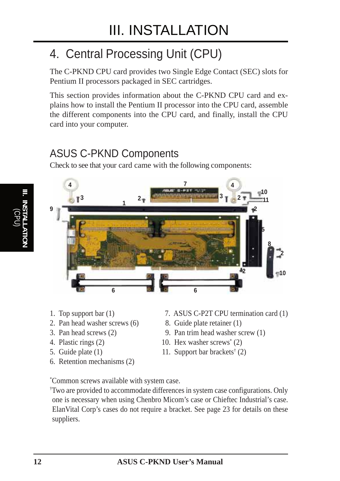# 4. Central Processing Unit (CPU)

The C-PKND CPU card provides two Single Edge Contact (SEC) slots for Pentium II processors packaged in SEC cartridges.

This section provides information about the C-PKND CPU card and explains how to install the Pentium II processor into the CPU card, assemble the different components into the CPU card, and finally, install the CPU card into your computer.

### ASUS C-PKND Components

Check to see that your card came with the following components:



- 
- 2. Pan head washer screws (6) 8. Guide plate retainer (1)
- 
- 
- 
- 6. Retention mechanisms (2)
- 1. Top support bar (1) 7. ASUS C-P2T CPU termination card (1)
	-
- 3. Pan head screws (2) 9. Pan trim head washer screw (1)
- 4. Plastic rings (2) 10. Hex washer screws<sup>\*</sup> (2)
- 5. Guide plate (1) 11. Support bar brackets<sup>†</sup> (2)

\* Common screws available with system case.

† Two are provided to accommodate differences in system case configurations. Only one is necessary when using Chenbro Micom's case or Chieftec Industrial's case. ElanVital Corp's cases do not require a bracket. See page 23 for details on these suppliers.

**12 ASUS C-PKND User's Manual**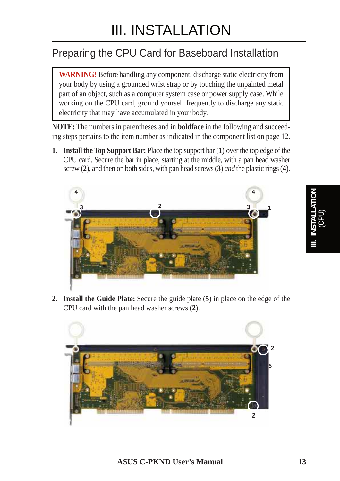# Preparing the CPU Card for Baseboard Installation

**WARNING!** Before handling any component, discharge static electricity from your body by using a grounded wrist strap or by touching the unpainted metal part of an object, such as a computer system case or power supply case. While working on the CPU card, ground yourself frequently to discharge any static electricity that may have accumulated in your body.

**NOTE:** The numbers in parentheses and in **boldface** in the following and succeeding steps pertains to the item number as indicated in the component list on page 12.

**1. Install the Top Support Bar:** Place the top support bar (**1**) over the top edge of the CPU card. Secure the bar in place, starting at the middle, with a pan head washer screw (**2**), and then on both sides, with pan head screws (**3**) *and* the plastic rings (**4**).



**2. Install the Guide Plate:** Secure the guide plate (**5**) in place on the edge of the CPU card with the pan head washer screws (**2**).

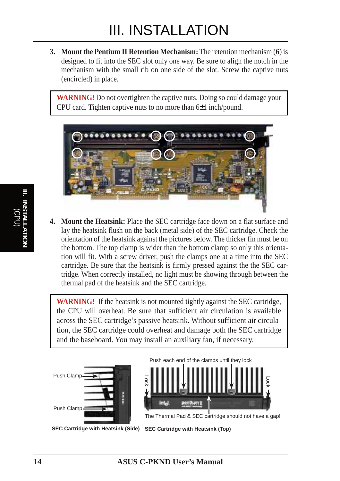**3. Mount the Pentium II Retention Mechanism:** The retention mechanism (**6**) is designed to fit into the SEC slot only one way. Be sure to align the notch in the mechanism with the small rib on one side of the slot. Screw the captive nuts (encircled) in place.

**WARNING!** Do not overtighten the captive nuts. Doing so could damage your CPU card. Tighten captive nuts to no more than 6±1 inch/pound.



**4. Mount the Heatsink:** Place the SEC cartridge face down on a flat surface and lay the heatsink flush on the back (metal side) of the SEC cartridge. Check the orientation of the heatsink against the pictures below. The thicker fin must be on the bottom. The top clamp is wider than the bottom clamp so only this orientation will fit. With a screw driver, push the clamps one at a time into the SEC cartridge. Be sure that the heatsink is firmly pressed against the the SEC cartridge. When correctly installed, no light must be showing through between the thermal pad of the heatsink and the SEC cartridge.

**WARNING!** If the heatsink is not mounted tightly against the SEC cartridge, the CPU will overheat. Be sure that sufficient air circulation is available across the SEC cartridge's passive heatsink. Without sufficient air circulation, the SEC cartridge could overheat and damage both the SEC cartridge and the baseboard. You may install an auxiliary fan, if necessary.





The Thermal Pad & SEC cartridge should not have a gap!

**SEC Cartridge with Heatsink (Side) SEC Cartridge with Heatsink (Top)**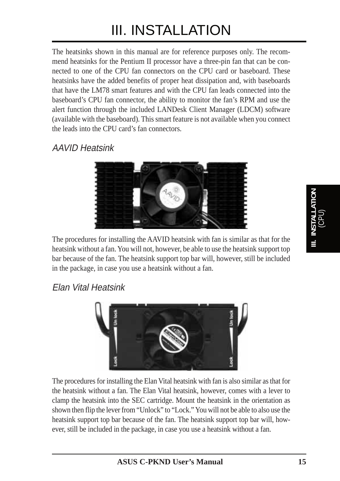The heatsinks shown in this manual are for reference purposes only. The recommend heatsinks for the Pentium II processor have a three-pin fan that can be connected to one of the CPU fan connectors on the CPU card or baseboard. These heatsinks have the added benefits of proper heat dissipation and, with baseboards that have the LM78 smart features and with the CPU fan leads connected into the baseboard's CPU fan connector, the ability to monitor the fan's RPM and use the alert function through the included LANDesk Client Manager (LDCM) software (available with the baseboard). This smart feature is not available when you connect the leads into the CPU card's fan connectors.

### AAVID Heatsink



The procedures for installing the AAVID heatsink with fan is similar as that for the heatsink without a fan. You will not, however, be able to use the heatsink support top bar because of the fan. The heatsink support top bar will, however, still be included in the package, in case you use a heatsink without a fan.

### Elan Vital Heatsink



The procedures for installing the Elan Vital heatsink with fan is also similar as that for the heatsink without a fan. The Elan Vital heatsink, however, comes with a lever to clamp the heatsink into the SEC cartridge. Mount the heatsink in the orientation as shown then flip the lever from "Unlock" to "Lock." You will not be able to also use the heatsink support top bar because of the fan. The heatsink support top bar will, however, still be included in the package, in case you use a heatsink without a fan.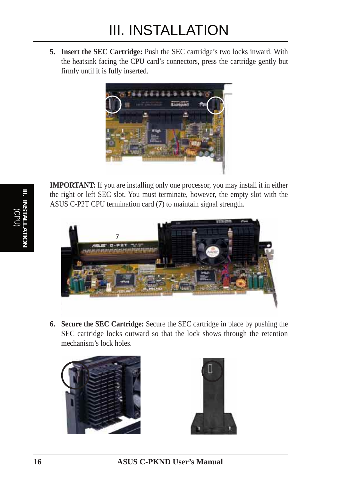**5. Insert the SEC Cartridge:** Push the SEC cartridge's two locks inward. With the heatsink facing the CPU card's connectors, press the cartridge gently but firmly until it is fully inserted.



**IMPORTANT:** If you are installing only one processor, you may install it in either the right or left SEC slot. You must terminate, however, the empty slot with the ASUS C-P2T CPU termination card (**7**) to maintain signal strength.



**6. Secure the SEC Cartridge:** Secure the SEC cartridge in place by pushing the SEC cartridge locks outward so that the lock shows through the retention mechanism's lock holes.





**16 ASUS C-PKND User's Manual**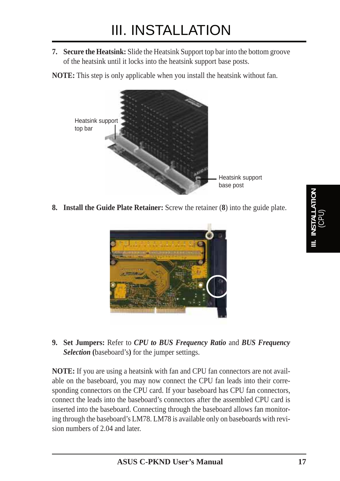**7. Secure the Heatsink:** Slide the Heatsink Support top bar into the bottom groove of the heatsink until it locks into the heatsink support base posts.

**NOTE:** This step is only applicable when you install the heatsink without fan.



**8. Install the Guide Plate Retainer:** Screw the retainer (**8**) into the guide plate.



**9. Set Jumpers:** Refer to *CPU to BUS Frequency Ratio* and *BUS Frequency Selection* **(**baseboard's**)** for the jumper settings.

**NOTE:** If you are using a heatsink with fan and CPU fan connectors are not available on the baseboard, you may now connect the CPU fan leads into their corresponding connectors on the CPU card. If your baseboard has CPU fan connectors, connect the leads into the baseboard's connectors after the assembled CPU card is inserted into the baseboard. Connecting through the baseboard allows fan monitoring through the baseboard's LM78. LM78 is available only on baseboards with revision numbers of 2.04 and later.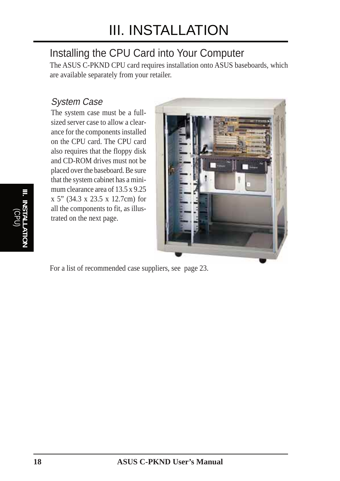## Installing the CPU Card into Your Computer

The ASUS C-PKND CPU card requires installation onto ASUS baseboards, which are available separately from your retailer.

### System Case

The system case must be a fullsized server case to allow a clearance for the components installed on the CPU card. The CPU card also requires that the floppy disk and CD-ROM drives must not be placed over the baseboard. Be sure that the system cabinet has a minimum clearance area of 13.5 x 9.25 x 5" (34.3 x 23.5 x 12.7cm) for all the components to fit, as illustrated on the next page.



For a list of recommended case suppliers, see page 23.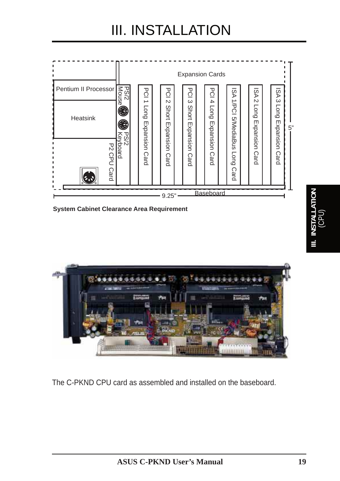



The C-PKND CPU card as assembled and installed on the baseboard.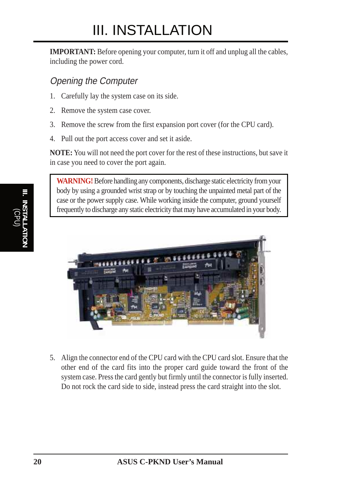**IMPORTANT:** Before opening your computer, turn it off and unplug all the cables, including the power cord.

### Opening the Computer

- 1. Carefully lay the system case on its side.
- 2. Remove the system case cover.
- 3. Remove the screw from the first expansion port cover (for the CPU card).
- 4. Pull out the port access cover and set it aside.

**NOTE:** You will not need the port cover for the rest of these instructions, but save it in case you need to cover the port again.

**WARNING!** Before handling any components, discharge static electricity from your body by using a grounded wrist strap or by touching the unpainted metal part of the case or the power supply case. While working inside the computer, ground yourself frequently to discharge any static electricity that may have accumulated in your body.



5. Align the connector end of the CPU card with the CPU card slot. Ensure that the other end of the card fits into the proper card guide toward the front of the system case. Press the card gently but firmly until the connector is fully inserted. Do not rock the card side to side, instead press the card straight into the slot.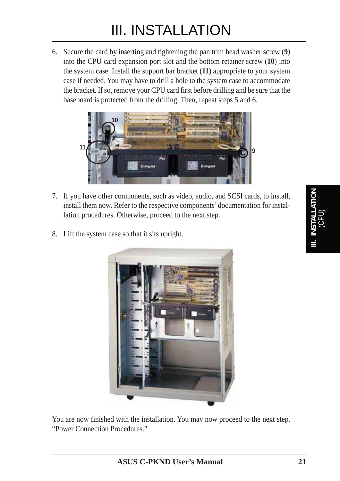6. Secure the card by inserting and tightening the pan trim head washer screw (**9**) into the CPU card expansion port slot and the bottom retainer screw (**10**) into the system case. Install the support bar bracket (**11**) appropriate to your system case if needed. You may have to drill a hole to the system case to accommodate the bracket. If so, remove your CPU card first before drilling and be sure that the baseboard is protected from the drilling. Then, repeat steps 5 and 6.



- 7. If you have other components, such as video, audio, and SCSI cards, to install, install them now. Refer to the respective components' documentation for installation procedures. Otherwise, proceed to the next step.
- 8. Lift the system case so that it sits upright.



You are now finished with the installation. You may now proceed to the next step, "Power Connection Procedures."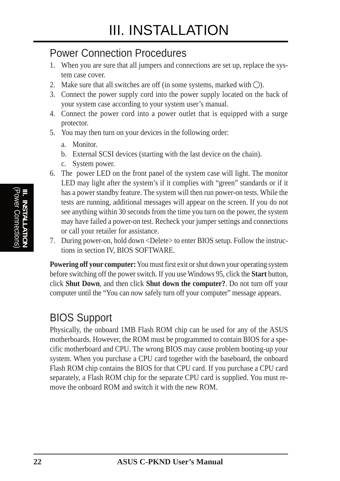### Power Connection Procedures

- 1. When you are sure that all jumpers and connections are set up, replace the system case cover.
- 2. Make sure that all switches are off (in some systems, marked with  $\bigcirc$ ).
- 3. Connect the power supply cord into the power supply located on the back of your system case according to your system user's manual.
- 4. Connect the power cord into a power outlet that is equipped with a surge protector.
- 5. You may then turn on your devices in the following order:
	- a. Monitor.
	- b. External SCSI devices (starting with the last device on the chain).
	- c. System power.
- 6. The power LED on the front panel of the system case will light. The monitor LED may light after the system's if it complies with "green" standards or if it has a power standby feature. The system will then run power-on tests. While the tests are running, additional messages will appear on the screen. If you do not see anything within 30 seconds from the time you turn on the power, the system may have failed a power-on test. Recheck your jumper settings and connections or call your retailer for assistance.
- 7. During power-on, hold down <Delete> to enter BIOS setup. Follow the instructions in section IV, BIOS SOFTWARE.

**Powering off your computer:** You must first exit or shut down your operating system before switching off the power switch. If you use Windows 95, click the **Start** button, click **Shut Down**, and then click **Shut down the computer?**. Do not turn off your computer until the "You can now safely turn off your computer" message appears.

## BIOS Support

Physically, the onboard 1MB Flash ROM chip can be used for any of the ASUS motherboards. However, the ROM must be programmed to contain BIOS for a specific motherboard and CPU. The wrong BIOS may cause problem booting-up your system. When you purchase a CPU card together with the baseboard, the onboard Flash ROM chip contains the BIOS for that CPU card. If you purchase a CPU card separately, a Flash ROM chip for the separate CPU card is supplied. You must remove the onboard ROM and switch it with the new ROM.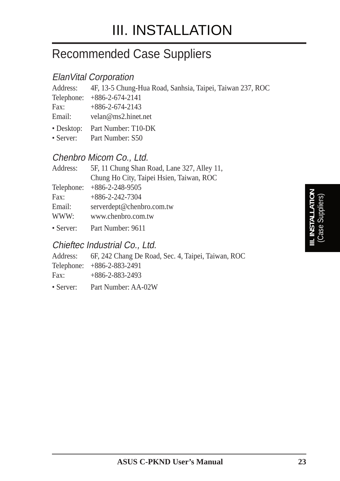# Recommended Case Suppliers

### ElanVital Corporation

| Address: 4F, 13-5 Chung-Hua Road, Sanhsia, Taipei, Taiwan 237, ROC |
|--------------------------------------------------------------------|
| Telephone: +886-2-674-2141                                         |
| Fax: $+886-2-674-2143$                                             |
| Email: velan@ms2.hinet.net                                         |
| • Desktop: Part Number: T10-DK                                     |
| • Server: Part Number: S50                                         |

### Chenbro Micom Co., Ltd.

| Address:   | 5F, 11 Chung Shan Road, Lane 327, Alley 11, |  |  |  |
|------------|---------------------------------------------|--|--|--|
|            | Chung Ho City, Taipei Hsien, Taiwan, ROC    |  |  |  |
| Telephone: | $+886 - 2 - 248 - 9505$                     |  |  |  |
| Fax:       | $+886 - 2 - 242 - 7304$                     |  |  |  |
| Email:     | serverdept@chenbro.com.tw                   |  |  |  |
| WWW:       | www.chenbro.com.tw                          |  |  |  |
| • Server:  | Part Number: 9611                           |  |  |  |

### Chieftec Industrial Co., Ltd.

|      | Address: 6F, 242 Chang De Road, Sec. 4, Taipei, Taiwan, ROC |
|------|-------------------------------------------------------------|
|      | Telephone: +886-2-883-2491                                  |
| Fax: | $+886-2-883-2493$                                           |
|      | • Server: Part Number: AA-02W                               |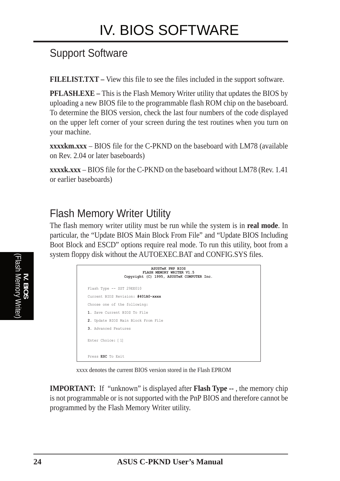## Support Software

**FILELIST.TXT –** View this file to see the files included in the support software.

**PFLASH.EXE –** This is the Flash Memory Writer utility that updates the BIOS by uploading a new BIOS file to the programmable flash ROM chip on the baseboard. To determine the BIOS version, check the last four numbers of the code displayed on the upper left corner of your screen during the test routines when you turn on your machine.

**xxxxkm.xxx** – BIOS file for the C-PKND on the baseboard with LM78 (available on Rev. 2.04 or later baseboards)

**xxxxk.xxx** – BIOS file for the C-PKND on the baseboard without LM78 (Rev. 1.41 or earlier baseboards)

## Flash Memory Writer Utility

The flash memory writer utility must be run while the system is in **real mode**. In particular, the "Update BIOS Main Block From File" and "Update BIOS Including Boot Block and ESCD" options require real mode. To run this utility, boot from a system floppy disk without the AUTOEXEC.BAT and CONFIG.SYS files.

| <b>ASUSTeK PNP BIOS</b><br>FLASH MEMORY WRITER V1.5<br>Copyright (C) 1995, ASUSTeK COMPUTER Inc. |
|--------------------------------------------------------------------------------------------------|
| Flash Type -- SST 29EE010                                                                        |
| Current BIOS Revision: #401A0-xxxx                                                               |
| Choose one of the following:                                                                     |
| 1. Save Current BIOS To File                                                                     |
| 2. Update BIOS Main Block From File                                                              |
| 3. Advanced Features                                                                             |
| Enter Choice: [1]                                                                                |
| Press ESC To Exit                                                                                |

xxxx denotes the current BIOS version stored in the Flash EPROM

**IMPORTANT:** If "unknown" is displayed after **Flash Type --**, the memory chip is not programmable or is not supported with the PnP BIOS and therefore cannot be programmed by the Flash Memory Writer utility.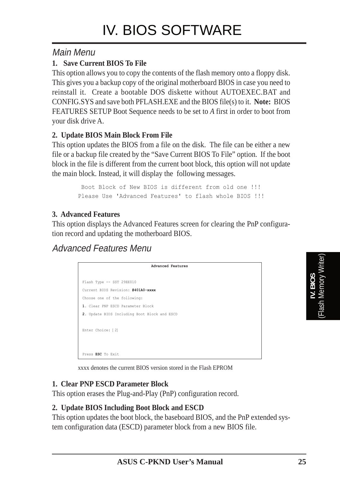### Main Menu

#### **1. Save Current BIOS To File**

This option allows you to copy the contents of the flash memory onto a floppy disk. This gives you a backup copy of the original motherboard BIOS in case you need to reinstall it. Create a bootable DOS diskette without AUTOEXEC.BAT and CONFIG.SYS and save both PFLASH.EXE and the BIOS file(s) to it. **Note:** BIOS FEATURES SETUP Boot Sequence needs to be set to *A* first in order to boot from your disk drive A.

#### **2. Update BIOS Main Block From File**

This option updates the BIOS from a file on the disk. The file can be either a new file or a backup file created by the "Save Current BIOS To File" option. If the boot block in the file is different from the current boot block, this option will not update the main block. Instead, it will display the following messages.

> Boot Block of New BIOS is different from old one !!! Please Use 'Advanced Features' to flash whole BIOS !!!

#### **3. Advanced Features**

This option displays the Advanced Features screen for clearing the PnP configuration record and updating the motherboard BIOS.

### Advanced Features Menu

| Advanced Features                            |
|----------------------------------------------|
| Flash Type -- SST 29EE010                    |
| Current BIOS Revision: #401A0-xxxx           |
| Choose one of the following:                 |
| 1. Clear PNP ESCD Parameter Block            |
| 2. Update BIOS Including Boot Block and ESCD |
|                                              |
| Enter Choice: [2]                            |
|                                              |
|                                              |
| Press ESC To Exit                            |

xxxx denotes the current BIOS version stored in the Flash EPROM

#### **1. Clear PNP ESCD Parameter Block**

This option erases the Plug-and-Play (PnP) configuration record.

#### **2. Update BIOS Including Boot Block and ESCD**

This option updates the boot block, the baseboard BIOS, and the PnP extended system configuration data (ESCD) parameter block from a new BIOS file.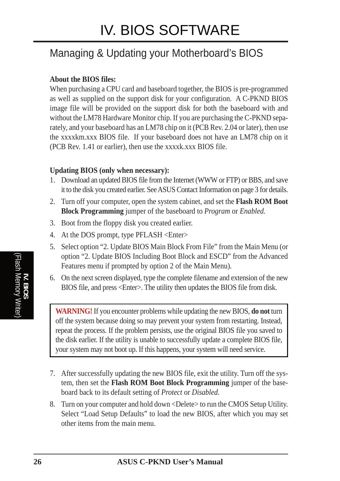## Managing & Updating your Motherboard's BIOS

#### **About the BIOS files:**

When purchasing a CPU card and baseboard together, the BIOS is pre-programmed as well as supplied on the support disk for your configuration. A C-PKND BIOS image file will be provided on the support disk for both the baseboard with and without the LM78 Hardware Monitor chip. If you are purchasing the C-PKND separately, and your baseboard has an LM78 chip on it (PCB Rev. 2.04 or later), then use the xxxxkm.xxx BIOS file. If your baseboard does not have an LM78 chip on it (PCB Rev. 1.41 or earlier), then use the xxxxk.xxx BIOS file.

#### **Updating BIOS (only when necessary):**

- 1. Download an updated BIOS file from the Internet (WWW or FTP) or BBS, and save it to the disk you created earlier. See ASUS Contact Information on page 3 for details.
- 2. Turn off your computer, open the system cabinet, and set the **Flash ROM Boot Block Programming** jumper of the baseboard to *Program* or *Enabled.*
- 3. Boot from the floppy disk you created earlier.
- 4. At the DOS prompt, type PFLASH <Enter>
- 5. Select option "2. Update BIOS Main Block From File" from the Main Menu (or option "2. Update BIOS Including Boot Block and ESCD" from the Advanced Features menu if prompted by option 2 of the Main Menu).
- 6. On the next screen displayed, type the complete filename and extension of the new BIOS file, and press <Enter>. The utility then updates the BIOS file from disk.

**WARNING!** If you encounter problems while updating the new BIOS, **do not** turn off the system because doing so may prevent your system from restarting. Instead, repeat the process. If the problem persists, use the original BIOS file you saved to the disk earlier. If the utility is unable to successfully update a complete BIOS file, your system may not boot up. If this happens, your system will need service.

- 7. After successfully updating the new BIOS file, exit the utility. Turn off the system, then set the **Flash ROM Boot Block Programming** jumper of the baseboard back to its default setting of *Protect* or *Disabled*.
- 8. Turn on your computer and hold down <Delete> to run the CMOS Setup Utility. Select "Load Setup Defaults" to load the new BIOS, after which you may set other items from the main menu.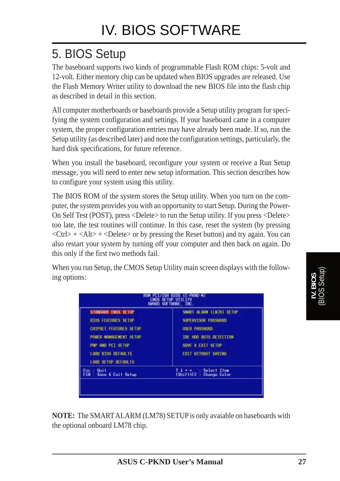# 5. BIOS Setup

The baseboard supports two kinds of programmable Flash ROM chips: 5-volt and 12-volt. Either memory chip can be updated when BIOS upgrades are released. Use the Flash Memory Writer utility to download the new BIOS file into the flash chip as described in detail in this section.

All computer motherboards or baseboards provide a Setup utility program for specifying the system configuration and settings. If your baseboard came in a computer system, the proper configuration entries may have already been made. If so, run the Setup utility (as described later) and note the configuration settings, particularly, the hard disk specifications, for future reference.

When you install the baseboard, reconfigure your system or receive a Run Setup message, you will need to enter new setup information. This section describes how to configure your system using this utility.

The BIOS ROM of the system stores the Setup utility. When you turn on the computer, the system provides you with an opportunity to start Setup. During the Power-On Self Test (POST), press <Delete> to run the Setup utility. If you press <Delete> too late, the test routines will continue. In this case, reset the system (by pressing  $\langle$ Ctrl> +  $\langle$ Alt> +  $\langle$ Delete> or by pressing the Reset button) and try again. You can also restart your system by turning off your computer and then back on again. Do this only if the first two methods fail.

When you run Setup, the CMOS Setup Utility main screen displays with the following options:

| FOR THE PET SETUP<br>SIVE & EXIT SETIP                                                              | <b>LORD 8105 DEFAULTS:</b><br>LOOD SETUP DEFAULTS | <b>EXIT WITHOUT SAVING</b> |
|-----------------------------------------------------------------------------------------------------|---------------------------------------------------|----------------------------|
|                                                                                                     |                                                   |                            |
|                                                                                                     | <b><i>ROWER MANAGEMENT SETUP</i></b>              | TOE HOD RUTO DETECTION     |
| SUFERVISOR PASSHORD<br><b>810S FEATURES SETUP</b><br>CHIPSET FEATURES SETUP<br><b>USER PASSHIND</b> |                                                   |                            |

**NOTE:** The SMART ALARM (LM78) SETUP is only avaiable on baseboards with the optional onboard LM78 chip.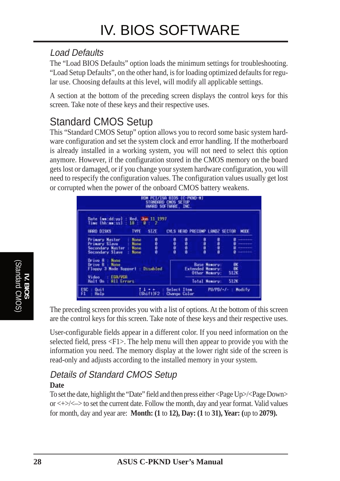### Load Defaults

The "Load BIOS Defaults" option loads the minimum settings for troubleshooting. "Load Setup Defaults", on the other hand, is for loading optimized defaults for regular use. Choosing defaults at this level, will modify all applicable settings.

A section at the bottom of the preceding screen displays the control keys for this screen. Take note of these keys and their respective uses.

## Standard CMOS Setup

This "Standard CMOS Setup" option allows you to record some basic system hardware configuration and set the system clock and error handling. If the motherboard is already installed in a working system, you will not need to select this option anymore. However, if the configuration stored in the CMOS memory on the board gets lost or damaged, or if you change your system hardware configuration, you will need to respecify the configuration values. The configuration values usually get lost or corrupted when the power of the onboard CMOS battery weakens.

| STANDARD CHOS SETUP<br>AWARD SOFTWARE, INC.                                                                                                |      |                                                                              | -PKND-N)                       |      |                   |             |
|--------------------------------------------------------------------------------------------------------------------------------------------|------|------------------------------------------------------------------------------|--------------------------------|------|-------------------|-------------|
| Date (mm:dd:uu) :<br>Hed. Jam 11 1997<br>Time (hhimmess) :<br>18.1<br>n<br>SIZE<br>HERD DISKS<br><b>TYPE</b>                               |      |                                                                              | CYLS HEAD PRECOMP LANDZ SECTOR |      |                   | <b>HODE</b> |
| <b>Primary Master</b><br>0000<br>None<br><b>Primury Slave</b><br><b>Nona</b><br>Secondary Naster<br><b>None</b><br>Secondary Slave<br>None | ,,,, | Ð<br>000                                                                     | 机砂机箱                           | 超细胞群 |                   |             |
| Drive A - None<br>Drive B. : None<br>Floopy 3 Mode Support : Disabled                                                                      |      | <b>Base Namoru:</b><br>獸<br><b>Extended Memory:</b><br>512K<br>Other Memory: |                                |      |                   |             |
| EGA/VGA<br>Video<br>Halt On : 811 Errors                                                                                                   |      |                                                                              | Total Memory:                  |      | 512K              |             |
| ESD.<br>$= 0$ uit<br>Shift)F2<br>F1<br>Help                                                                                                |      | Select Item<br>Charron Color                                                 |                                |      | PU/PD/+/-: Modify |             |

The preceding screen provides you with a list of options. At the bottom of this screen are the control keys for this screen. Take note of these keys and their respective uses.

User-configurable fields appear in a different color. If you need information on the selected field, press <F1>. The help menu will then appear to provide you with the information you need. The memory display at the lower right side of the screen is read-only and adjusts according to the installed memory in your system.

#### Details of Standard CMOS Setup **Date**

To set the date, highlight the "Date" field and then press either <Page Up>/<Page Down> or <+>/<–> to set the current date. Follow the month, day and year format. Valid values for month, day and year are: **Month: (1** to **12), Day: (1** to **31), Year: (**up to **2079).**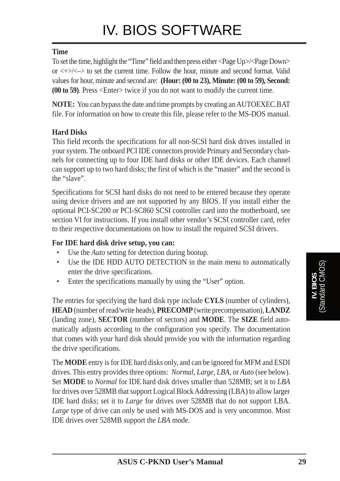#### **Time**

To set the time, highlight the "Time" field and then press either <Page Up>/<Page Down> or  $\langle + \rangle$  to set the current time. Follow the hour, minute and second format. Valid values for hour, minute and second are: **(Hour: (00 to 23), Minute: (00 to 59), Second: (00 to 59)**. Press <Enter> twice if you do not want to modify the current time.

**NOTE:** You can bypass the date and time prompts by creating an AUTOEXEC.BAT file. For information on how to create this file, please refer to the MS-DOS manual.

#### **Hard Disks**

This field records the specifications for all non-SCSI hard disk drives installed in your system. The onboard PCI IDE connectors provide Primary and Secondary channels for connecting up to four IDE hard disks or other IDE devices. Each channel can support up to two hard disks; the first of which is the "master" and the second is the "slave".

Specifications for SCSI hard disks do not need to be entered because they operate using device drivers and are not supported by any BIOS. If you install either the optional PCI-SC200 or PCI-SC860 SCSI controller card into the motherboard, see section VI for instructions. If you install other vendor's SCSI controller card, refer to their respective documentations on how to install the required SCSI drivers.

#### **For IDE hard disk drive setup, you can:**

- Use the *Auto* setting for detection during bootup.
- Use the IDE HDD AUTO DETECTION in the main menu to automatically enter the drive specifications.
- Enter the specifications manually by using the "User" option.

The entries for specifying the hard disk type include **CYLS** (number of cylinders), **HEAD** (number of read/write heads), **PRECOMP** (write precompensation), **LANDZ** (landing zone), **SECTOR** (number of sectors) and **MODE**. The **SIZE** field automatically adjusts according to the configuration you specify. The documentation that comes with your hard disk should provide you with the information regarding the drive specifications.

The **MODE** entry is for IDE hard disks only, and can be ignored for MFM and ESDI drives. This entry provides three options: *Normal, Large, LBA*, or *Auto* (see below). Set **MODE** to *Normal* for IDE hard disk drives smaller than 528MB; set it to *LBA* for drives over 528MB that support Logical Block Addressing (LBA) to allow larger IDE hard disks; set it to *Large* for drives over 528MB that do not support LBA. Large type of drive can only be used with MS-DOS and is very uncommon. Most IDE drives over 528MB support the *LBA* mode.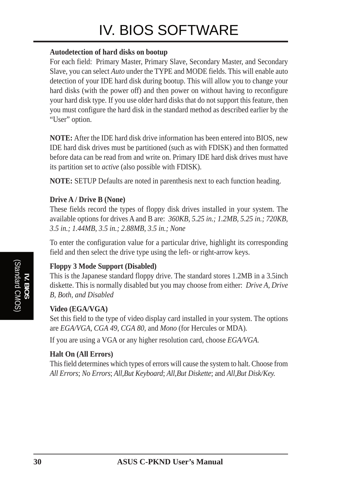# IV. BIOS SOFTWARE

#### **Autodetection of hard disks on bootup**

For each field: Primary Master, Primary Slave, Secondary Master, and Secondary Slave, you can select *Auto* under the TYPE and MODE fields. This will enable auto detection of your IDE hard disk during bootup. This will allow you to change your hard disks (with the power off) and then power on without having to reconfigure your hard disk type. If you use older hard disks that do not support this feature, then you must configure the hard disk in the standard method as described earlier by the "User" option.

**NOTE:** After the IDE hard disk drive information has been entered into BIOS, new IDE hard disk drives must be partitioned (such as with FDISK) and then formatted before data can be read from and write on. Primary IDE hard disk drives must have its partition set to *active* (also possible with FDISK).

**NOTE:** SETUP Defaults are noted in parenthesis next to each function heading.

#### **Drive A / Drive B (None)**

These fields record the types of floppy disk drives installed in your system. The available options for drives A and B are: *360KB, 5.25 in.; 1.2MB, 5.25 in.; 720KB, 3.5 in.; 1.44MB, 3.5 in.; 2.88MB, 3.5 in.; None*

To enter the configuration value for a particular drive, highlight its corresponding field and then select the drive type using the left- or right-arrow keys.

#### **Floppy 3 Mode Support (Disabled)**

This is the Japanese standard floppy drive. The standard stores 1.2MB in a 3.5inch diskette. This is normally disabled but you may choose from either: *Drive A, Drive B, Both, and Disabled*

#### **Video (EGA/VGA)**

Set this field to the type of video display card installed in your system. The options are *EGA/VGA*, *CGA 49*, *CGA 80*, and *Mono* (for Hercules or MDA)*.*

If you are using a VGA or any higher resolution card, choose *EGA/VGA*.

#### **Halt On (All Errors)**

This field determines which types of errors will cause the system to halt. Choose from *All Errors*; *No Errors*; *All*,*But Keyboard*; *All*,*But Diskette*; and *All,But Disk/Key.*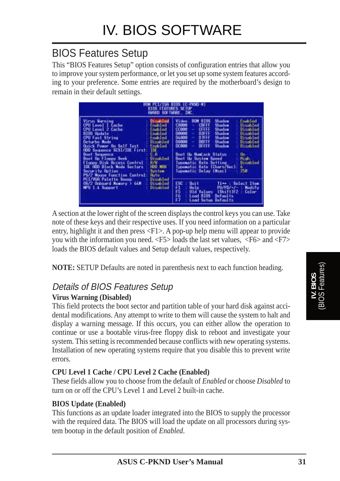## BIOS Features Setup

This "BIOS Features Setup" option consists of configuration entries that allow you to improve your system performance, or let you set up some system features according to your preference. Some entries are required by the motherboard's design to remain in their default settings.

|                                                                                                                                                                                                                                                                                                                                                                                                                                                                                                                                                                                        | HUM PCL/ISA BIOS (C-PKMD-M)<br>BIOS FEATURES SETUP<br>AWARD SOFTWARE, INC.                                                                                                                                                                                                                                                                                                                                                                                                                                                                                                                                            |
|----------------------------------------------------------------------------------------------------------------------------------------------------------------------------------------------------------------------------------------------------------------------------------------------------------------------------------------------------------------------------------------------------------------------------------------------------------------------------------------------------------------------------------------------------------------------------------------|-----------------------------------------------------------------------------------------------------------------------------------------------------------------------------------------------------------------------------------------------------------------------------------------------------------------------------------------------------------------------------------------------------------------------------------------------------------------------------------------------------------------------------------------------------------------------------------------------------------------------|
| Disabled<br>Virus Warning<br>CPU Level 1 Cache<br>Enabled<br>CPU Level 2 Cache<br>Enabled<br><b>BIOS Update</b><br><b>Enabled</b><br>CPU Fast String<br>Finibiled.<br>Deturbo Node<br>Disabled<br><b>Ouick Power On Self Test</b><br>Enchled<br>TIXE.<br>HDD Sequence SCSI/IDE First:<br>C.B.<br><b>Boot Sequence</b><br><b>Boot Up Floppy Seek</b><br>Disabled<br><b>R/W</b><br>Floppy Disk Access Control<br>HEID MEDE<br>IDE HDD Block Node Sectors<br>Security Option<br>Sustem.<br><b>PS/2 Mouse Function Control:</b><br><b>Huto</b><br>PCI/VGA Palette Snoop<br><b>Uisabled</b> | <b>RON 810S</b><br>Enabled<br>Shadow<br>Video<br>C8008<br>CBLEE<br><b>Shadow</b><br>Disabled<br>$\sim$<br><b>CFFFF</b><br>00888<br><b>Shadow</b><br>Disabled<br>$\sim$<br>00000<br>$\blacklozenge$<br>D3FFF<br><b>Shadow</b><br><b>Disabled</b><br><b>DATE</b><br><b>D4.008</b><br><b>Disabled</b><br>÷<br>Shadow<br><b>DBITT</b><br>08000<br>Disabled<br>$\sim$<br><b>Shadow</b><br>00880<br>DEELE<br>Disabled<br>Shadow<br><b>Boot Up NumLock Status</b><br>Un.<br>High.<br>Boot Un System Speed<br>Typematic Rate Setting<br>Disabled<br>Typematic Rate (Chars/Sec):<br>60<br>250<br><b>Ivoematic Delay (Msec)</b> |
| 0S/2 Onboard Newary > 64M<br>Disabled<br>MPS 1.4 Support<br>Disabled                                                                                                                                                                                                                                                                                                                                                                                                                                                                                                                   | ESC<br>$0$ uit<br>Ti-+ : Select Item<br>Ð<br>PU/PD/+/+<br>Help -<br>Modify<br>F5<br>$(ShitE)E2 +$<br><b>Old Values</b><br>Color<br>56<br>Loud BIOS<br>Defaults.<br>F7<br>Load Setup Defaults                                                                                                                                                                                                                                                                                                                                                                                                                          |

A section at the lower right of the screen displays the control keys you can use. Take note of these keys and their respective uses. If you need information on a particular entry, highlight it and then press <F1>. A pop-up help menu will appear to provide you with the information you need. <F5> loads the last set values, <F6> and <F7> loads the BIOS default values and Setup default values, respectively.

**NOTE:** SETUP Defaults are noted in parenthesis next to each function heading.

### Details of BIOS Features Setup

#### **Virus Warning (Disabled)**

This field protects the boot sector and partition table of your hard disk against accidental modifications. Any attempt to write to them will cause the system to halt and display a warning message. If this occurs, you can either allow the operation to continue or use a bootable virus-free floppy disk to reboot and investigate your system. This setting is recommended because conflicts with new operating systems. Installation of new operating systems require that you disable this to prevent write errors.

#### **CPU Level 1 Cache / CPU Level 2 Cache (Enabled)**

These fields allow you to choose from the default of *Enabled* or choose *Disabled* to turn on or off the CPU's Level 1 and Level 2 built-in cache.

#### **BIOS Update (Enabled)**

This functions as an update loader integrated into the BIOS to supply the processor with the required data. The BIOS will load the update on all processors during system bootup in the default position of *Enabled*.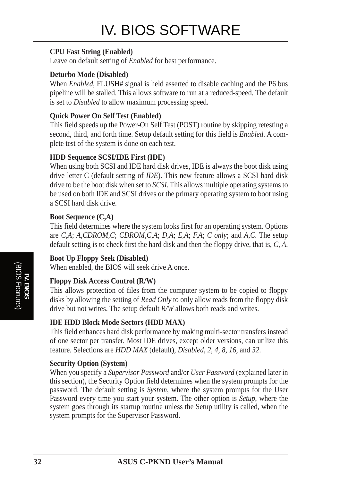#### **CPU Fast String (Enabled)**

Leave on default setting of *Enabled* for best performance.

#### **Deturbo Mode (Disabled)**

When *Enabled*, FLUSH# signal is held asserted to disable caching and the P6 bus pipeline will be stalled. This allows software to run at a reduced-speed. The default is set to *Disabled* to allow maximum processing speed.

#### **Quick Power On Self Test (Enabled)**

This field speeds up the Power-On Self Test (POST) routine by skipping retesting a second, third, and forth time. Setup default setting for this field is *Enabled*. A complete test of the system is done on each test.

#### **HDD Sequence SCSI/IDE First (IDE)**

When using both SCSI and IDE hard disk drives. IDE is always the boot disk using drive letter C (default setting of *IDE*). This new feature allows a SCSI hard disk drive to be the boot disk when set to *SCSI*. This allows multiple operating systems to be used on both IDE and SCSI drives or the primary operating system to boot using a SCSI hard disk drive.

#### **Boot Sequence (C,A)**

This field determines where the system looks first for an operating system. Options are *C,A*; *A,CDROM,C*; *CDROM,C,A*; *D,A*; *E,A*; *F,A*; *C only*; and *A,C*. The setup default setting is to check first the hard disk and then the floppy drive, that is, *C, A*.

#### **Boot Up Floppy Seek (Disabled)**

When enabled, the BIOS will seek drive A once.

#### **Floppy Disk Access Control (R/W)**

This allows protection of files from the computer system to be copied to floppy disks by allowing the setting of *Read Only* to only allow reads from the floppy disk drive but not writes. The setup default *R/W* allows both reads and writes.

#### **IDE HDD Block Mode Sectors (HDD MAX)**

This field enhances hard disk performance by making multi-sector transfers instead of one sector per transfer. Most IDE drives, except older versions, can utilize this feature. Selections are *HDD MAX* (default), *Disabled*, *2*, *4*, *8*, *16*, and *32*.

#### **Security Option (System)**

When you specify a *Supervisor Password* and/or *User Password* (explained later in this section), the Security Option field determines when the system prompts for the password. The default setting is *System*, where the system prompts for the User Password every time you start your system. The other option is *Setup*, where the system goes through its startup routine unless the Setup utility is called, when the system prompts for the Supervisor Password.

**IV. BIOS** (BIOS Features)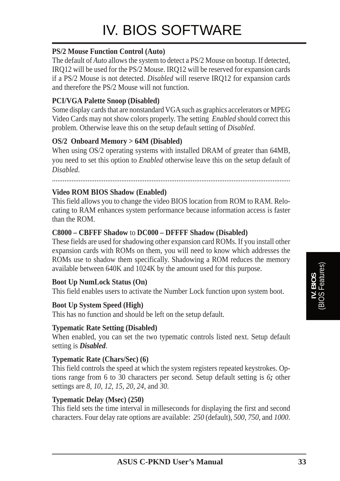#### **PS/2 Mouse Function Control (Auto)**

The default of *Auto* allows the system to detect a PS/2 Mouse on bootup. If detected, IRQ12 will be used for the PS/2 Mouse. IRQ12 will be reserved for expansion cards if a PS/2 Mouse is not detected. *Disabled* will reserve IRQ12 for expansion cards and therefore the PS/2 Mouse will not function.

#### **PCI/VGA Palette Snoop (Disabled)**

Some display cards that are nonstandard VGA such as graphics accelerators or MPEG Video Cards may not show colors properly. The setting *Enabled* should correct this problem. Otherwise leave this on the setup default setting of *Disabled*.

#### **OS/2 Onboard Memory > 64M (Disabled)**

When using OS/2 operating systems with installed DRAM of greater than 64MB, you need to set this option to *Enabled* otherwise leave this on the setup default of *Disabled*.

......................................................................................................................................

#### **Video ROM BIOS Shadow (Enabled)**

This field allows you to change the video BIOS location from ROM to RAM. Relocating to RAM enhances system performance because information access is faster than the ROM.

#### **C8000 – CBFFF Shadow** to **DC000 – DFFFF Shadow (Disabled)**

These fields are used for shadowing other expansion card ROMs. If you install other expansion cards with ROMs on them, you will need to know which addresses the ROMs use to shadow them specifically. Shadowing a ROM reduces the memory available between 640K and 1024K by the amount used for this purpose.

#### **Boot Up NumLock Status (On)**

This field enables users to activate the Number Lock function upon system boot.

#### **Boot Up System Speed (High)**

This has no function and should be left on the setup default.

#### **Typematic Rate Setting (Disabled)**

When enabled, you can set the two typematic controls listed next. Setup default setting is *Disabled*.

#### **Typematic Rate (Chars/Sec) (6)**

This field controls the speed at which the system registers repeated keystrokes. Options range from 6 to 30 characters per second. Setup default setting is *6;* other settings are *8*, *10*, *12*, *15*, *20*, *24*, and *30*.

#### **Typematic Delay (Msec) (250)**

This field sets the time interval in milleseconds for displaying the first and second characters. Four delay rate options are available: *250* (default), *500*, *750*, and *1000*.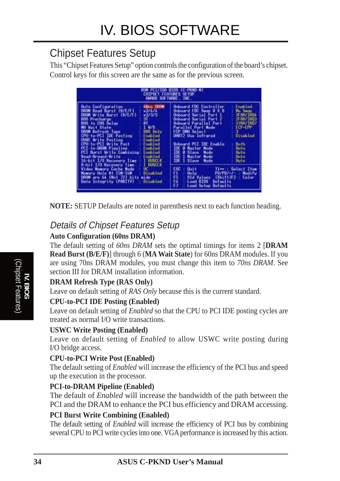### Chipset Features Setup

This "Chipset Features Setup" option controls the configuration of the board's chipset. Control keys for this screen are the same as for the previous screen.

|                                                                                                                                                                                                                                                                                                                                                                                                                                                                            |                                                    | PCL/ISR BIOS (C-PKND-N)<br>CHIPSET FEATURES SETUP<br>AWARD SOFTWARE INC.                                                                                                                                                                                                                                                                                                                                                                                                                                                                                   |
|----------------------------------------------------------------------------------------------------------------------------------------------------------------------------------------------------------------------------------------------------------------------------------------------------------------------------------------------------------------------------------------------------------------------------------------------------------------------------|----------------------------------------------------|------------------------------------------------------------------------------------------------------------------------------------------------------------------------------------------------------------------------------------------------------------------------------------------------------------------------------------------------------------------------------------------------------------------------------------------------------------------------------------------------------------------------------------------------------------|
| <b>Buto Configuration</b><br>DRAM Read Burst (B/E/F)<br><i><b>w37474</b></i><br>k3/3/3<br>DRSM Write Burst (B/E/F)<br>31<br><b>RIS Precharge</b><br>ñİ<br>RAS to CAS Delay<br>1 Ws<br>MA Wait State<br>DRIM Refresh Tupe<br>CPU-to-PCI IDE Pasting<br>Enabled<br>USWC Write Posting<br>Enabled<br>CPU-to-PCI Write Post<br>Enabled<br>PCI-to-DRAM Pipeline<br>Enabled<br>PCI Burst Write Combining:<br>Enablad<br>Read-Around-Hrite<br>Enablad<br>16-bit 1/0 Recovery line | <b>60ns DRIM</b><br><b>HAS Univers</b><br>l huselk | <b>Onboard FDC Controller</b><br>Enabled<br><b>Onboard FDC Swap R B B</b><br>No Swep<br><b>SFBH/TROA</b><br><b>Onboard Serial Port 1</b><br><b>JEBRATROC</b><br>Onboard Serial Part 2<br><b>378N/TROT</b><br>Onboard Parallel Port<br>ECP-EPP<br><b>Parallel Port Mode</b><br>ECP DMR Select<br>UERT2 Use: Infrared<br><b>Bisabled</b><br>Both.<br><b>Onboard PCI IDE Enable</b><br><b>IDE @ Master Mode</b><br><b>Buto</b><br><b>IDE O Slave Mode</b><br><b>Huto</b><br><b>IDE 1 Mastor Mode</b><br><b>Buto</b><br><b>TDE 1 Slave Mode</b><br><b>Huto</b> |
| 8-bit I/O Recovery Time<br>Video Newory Cache Mode<br>uc<br>Memory Hole At 15M-16M<br>DRGM are 64 (Not 72) bits wide<br>Data Integrity (PARITY)                                                                                                                                                                                                                                                                                                                            | BISTEK<br><b>Disabled</b><br>Disabled              | ESC<br>$0$ uit<br>Time : Select Item<br>F1.<br>Halp.<br>PU/PD/+/+  <br>Modify<br>FS<br>Old Values (Shift)F2 :<br>Color<br>56<br>Lond BIOS<br>Defaults.<br>F7<br>Load Setup<br>Dufaults                                                                                                                                                                                                                                                                                                                                                                     |

**NOTE:** SETUP Defaults are noted in parenthesis next to each function heading.

### Details of Chipset Features Setup

#### **Auto Configuration (60ns DRAM)**

The default setting of *60ns DRAM* sets the optimal timings for items 2 [**DRAM Read Burst (B/E/F)**] through 6 (**MA Wait State**) for 60ns DRAM modules. If you are using 70ns DRAM modules, you must change this item to *70ns DRAM*. See section III for DRAM installation information.

#### **DRAM Refresh Type (RAS Only)**

Leave on default setting of *RAS Only* because this is the current standard.

#### **CPU-to-PCI IDE Posting (Enabled)**

Leave on default setting of *Enabled* so that the CPU to PCI IDE posting cycles are treated as normal I/O write transactions.

#### **USWC Write Posting (Enabled)**

Leave on default setting of *Enabled* to allow USWC write posting during I/O bridge access.

#### **CPU-to-PCI Write Post (Enabled)**

The default setting of *Enabled* will increase the efficiency of the PCI bus and speed up the execution in the processor.

#### **PCI-to-DRAM Pipeline (Enabled)**

The default of *Enabled* will increase the bandwidth of the path between the PCI and the DRAM to enhance the PCI bus efficiency and DRAM accessing.

#### **PCI Burst Write Combining (Enabled)**

The default setting of *Enabled* will increase the efficiency of PCI bus by combining several CPU to PCI write cycles into one. VGA performance is increased by this action.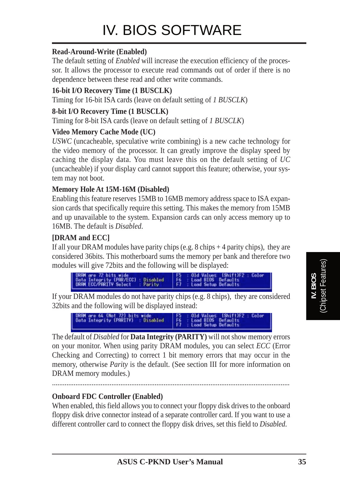#### **Read-Around-Write (Enabled)**

The default setting of *Enabled* will increase the execution efficiency of the processor. It allows the processor to execute read commands out of order if there is no dependence between these read and other write commands.

#### **16-bit I/O Recovery Time (1 BUSCLK)**

Timing for 16-bit ISA cards (leave on default setting of *1 BUSCLK*)

#### **8-bit I/O Recovery Time (1 BUSCLK)**

Timing for 8-bit ISA cards (leave on default setting of *1 BUSCLK*)

#### **Video Memory Cache Mode (UC)**

*USWC* (uncacheable, speculative write combining) is a new cache technology for the video memory of the processor. It can greatly improve the display speed by caching the display data. You must leave this on the default setting of *UC* (uncacheable) if your display card cannot support this feature; otherwise, your system may not boot.

#### **Memory Hole At 15M-16M (Disabled)**

Enabling this feature reserves 15MB to 16MB memory address space to ISA expansion cards that specifically require this setting. This makes the memory from 15MB and up unavailable to the system. Expansion cards can only access memory up to 16MB. The default is *Disabled*.

#### **[DRAM and ECC]**

If all your DRAM modules have parity chips  $(e.g. 8 chips + 4 parity chips)$ , they are considered 36bits. This motherboard sums the memory per bank and therefore two modules will give 72bits and the following will be displayed:



If your DRAM modules do not have parity chips (e.g. 8 chips), they are considered 32bits and the following will be displayed instead:



The default of *Disabled* for **Data Integrity (PARITY)** will not show memory errors on your monitor. When using parity DRAM modules, you can select *ECC* (Error Checking and Correcting) to correct 1 bit memory errors that may occur in the memory, otherwise *Parity* is the default. (See section III for more information on DRAM memory modules.)

....................................................................................................................................

#### **Onboard FDC Controller (Enabled)**

When enabled, this field allows you to connect your floppy disk drives to the onboard floppy disk drive connector instead of a separate controller card. If you want to use a different controller card to connect the floppy disk drives, set this field to *Disabled*.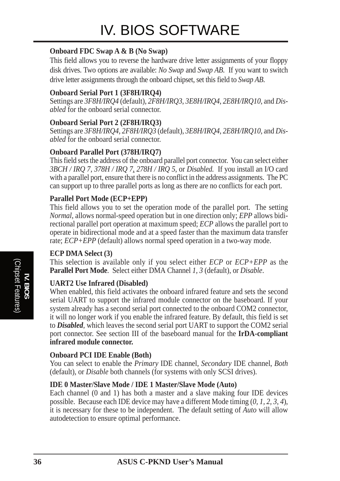#### **Onboard FDC Swap A & B (No Swap)**

This field allows you to reverse the hardware drive letter assignments of your floppy disk drives. Two options are available: *No Swap* and *Swap AB*. If you want to switch drive letter assignments through the onboard chipset, set this field to *Swap AB*.

#### **Onboard Serial Port 1 (3F8H/IRQ4)**

Settings are *3F8H/IRQ4* (default), *2F8H/IRQ3*, *3E8H/IRQ4*, *2E8H/IRQ10*, and *Disabled* for the onboard serial connector.

#### **Onboard Serial Port 2 (2F8H/IRQ3)**

Settings are *3F8H/IRQ4, 2F8H/IRQ3* (default), *3E8H/IRQ4*, *2E8H/IRQ10*, and *Disabled* for the onboard serial connector.

#### **Onboard Parallel Port (378H/IRQ7)**

This field sets the address of the onboard parallel port connector. You can select either *3BCH / IRQ 7*, *378H / IRQ 7, 278H / IRQ 5*, or *Disabled.* If you install an I/O card with a parallel port, ensure that there is no conflict in the address assignments. The PC can support up to three parallel ports as long as there are no conflicts for each port.

#### **Parallel Port Mode (ECP+EPP)**

This field allows you to set the operation mode of the parallel port. The setting *Normal*, allows normal-speed operation but in one direction only; *EPP* allows bidirectional parallel port operation at maximum speed; *ECP* allows the parallel port to operate in bidirectional mode and at a speed faster than the maximum data transfer rate; *ECP+EPP* (default) allows normal speed operation in a two-way mode.

#### **ECP DMA Select (3)**

This selection is available only if you select either *ECP* or *ECP+EPP* as the **Parallel Port Mode**. Select either DMA Channel *1, 3* (default), or *Disable*.

#### **UART2 Use Infrared (Disabled)**

When enabled, this field activates the onboard infrared feature and sets the second serial UART to support the infrared module connector on the baseboard. If your system already has a second serial port connected to the onboard COM2 connector, it will no longer work if you enable the infrared feature. By default, this field is set to *Disabled*, which leaves the second serial port UART to support the COM2 serial port connector. See section III of the baseboard manual for the **IrDA-compliant infrared module connector.**

#### **Onboard PCI IDE Enable (Both)**

You can select to enable the *Primary* IDE channel, *Secondary* IDE channel, *Both* (default), or *Disable* both channels (for systems with only SCSI drives).

#### **IDE 0 Master/Slave Mode / IDE 1 Master/Slave Mode (Auto)**

Each channel (0 and 1) has both a master and a slave making four IDE devices possible. Because each IDE device may have a different Mode timing (*0, 1, 2, 3, 4*), it is necessary for these to be independent. The default setting of *Auto* will allow autodetection to ensure optimal performance.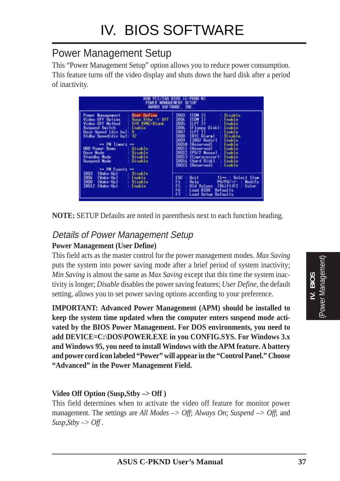### Power Management Setup

This "Power Management Setup" option allows you to reduce power consumption. This feature turns off the video display and shuts down the hard disk after a period of inactivity.

| HUM PCL/ISA BIOS (C-PKND-N)<br>PONER MANAGEMENT SETUP<br>AWARD SOFTWARE, INC.                                                                                                                                                                                                                                                                                                                                                                                                                                                                                   |  |  |
|-----------------------------------------------------------------------------------------------------------------------------------------------------------------------------------------------------------------------------------------------------------------------------------------------------------------------------------------------------------------------------------------------------------------------------------------------------------------------------------------------------------------------------------------------------------------|--|--|
| 1903<br><b>Uisable</b><br>(COM 2)<br>(COM 1)<br>(LPT 2)<br>顯<br>Enable<br>Enable<br>(Floppy Disk):<br>Enable<br>1807<br>I808<br>(UFI 1)<br>Enable<br>(RTC Alarm)<br>Disable<br>IR09<br>(IRO2 Redir)<br>Enable<br>18010<br>Enable<br>(Reserved)<br>19011<br>Enable<br><b>Reserved</b><br>IR012<br>$(PS/2$ Mouse)<br>Enable<br>10013<br>Enable<br>(Coprocessor):<br>IR014<br>Enable<br>(Mard Disk)<br><b>(Reserved)</b><br>Enable<br>16015<br>ESC<br>Time : Select Item<br>$0$ ui 1<br>昌福<br>Help.<br>PU/PD/+/+<br>Modify<br>Old Values (Shift)F2<br><b>Color</b> |  |  |
|                                                                                                                                                                                                                                                                                                                                                                                                                                                                                                                                                                 |  |  |

**NOTE:** SETUP Defaults are noted in parenthesis next to each function heading.

#### Details of Power Management Setup **Power Management (User Define)**

This field acts as the master control for the power management modes. *Max Saving* puts the system into power saving mode after a brief period of system inactivity; *Min Saving* is almost the same as *Max Saving* except that this time the system inactivity is longer; *Disable* disables the power saving features; *User Define*, the default setting, allows you to set power saving options according to your preference.

**IMPORTANT: Advanced Power Management (APM) should be installed to keep the system time updated when the computer enters suspend mode activated by the BIOS Power Management. For DOS environments, you need to add DEVICE=C:\DOS\POWER.EXE in you CONFIG.SYS. For Windows 3.x and Windows 95, you need to install Windows with the APM feature. A battery and power cord icon labeled "Power" will appear in the "Control Panel." Choose "Advanced" in the Power Management Field.**

#### **Video Off Option (Susp,Stby –> Off )**

This field determines when to activate the video off feature for monitor power management. The settings are *All Modes –> Off*; *Always On*; *Suspend –> Off*; and  $Susp, Stby \rightarrow \text{Off}$ .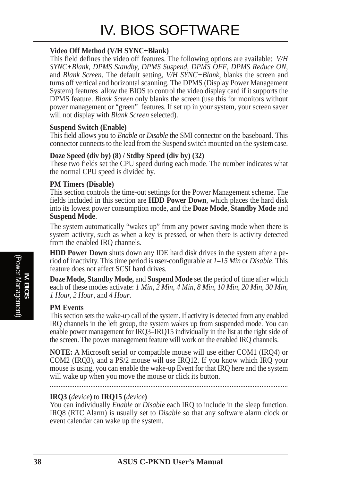#### **Video Off Method (V/H SYNC+Blank)**

This field defines the video off features. The following options are available: *V/H SYNC+Blank, DPMS Standby, DPMS Suspend*, *DPMS OFF*, *DPMS Reduce ON*, and *Blank Screen*. The default setting, *V/H SYNC+Blank*, blanks the screen and turns off vertical and horizontal scanning. The DPMS (Display Power Management System) features allow the BIOS to control the video display card if it supports the DPMS feature. *Blank Screen* only blanks the screen (use this for monitors without power management or "green" features. If set up in your system, your screen saver will not display with *Blank Screen* selected).

#### **Suspend Switch (Enable)**

This field allows you to *Enable* or *Disable* the SMI connector on the baseboard. This connector connects to the lead from the Suspend switch mounted on the system case.

#### **Doze Speed (div by) (8) / Stdby Speed (div by) (32)**

These two fields set the CPU speed during each mode. The number indicates what the normal CPU speed is divided by.

#### **PM Timers (Disable)**

This section controls the time-out settings for the Power Management scheme. The fields included in this section are **HDD Power Down**, which places the hard disk into its lowest power consumption mode, and the **Doze Mode**, **Standby Mode** and **Suspend Mode**.

The system automatically "wakes up" from any power saving mode when there is system activity, such as when a key is pressed, or when there is activity detected from the enabled IRQ channels.

**HDD Power Down** shuts down any IDE hard disk drives in the system after a period of inactivity. This time period is user-configurable at *1–15 Min* or *Disable*. This feature does not affect SCSI hard drives.

**Doze Mode, Standby Mode,** and **Suspend Mode** set the period of time after which each of these modes activate: *1 Min*, *2 Min*, *4 Min*, *8 Min*, *10 Min*, *20 Min*, *30 Min*, *1 Hour, 2 Hour*, and *4 Hour*.

#### **PM Events**

This section sets the wake-up call of the system. If activity is detected from any enabled IRQ channels in the left group, the system wakes up from suspended mode. You can enable power management for IRQ3–IRQ15 individually in the list at the right side of the screen. The power management feature will work on the enabled IRQ channels.

**NOTE:** A Microsoft serial or compatible mouse will use either COM1 (IRQ4) or COM2 (IRQ3), and a PS/2 mouse will use IRQ12. If you know which IRQ your mouse is using, you can enable the wake-up Event for that IRQ here and the system will wake up when you move the mouse or click its button.

.......................................................................................................................................

#### **IRQ3 (***device***)** to **IRQ15 (***device***)**

You can individually *Enable* or *Disable* each IRQ to include in the sleep function. IRQ8 (RTC Alarm) is usually set to *Disable* so that any software alarm clock or event calendar can wake up the system.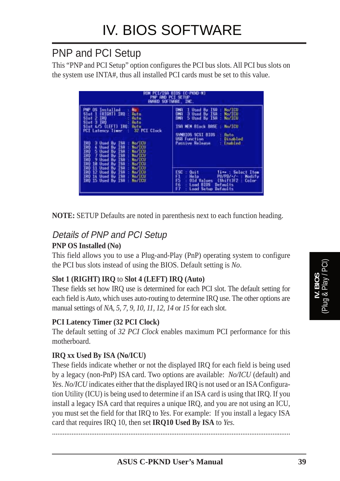### PNP and PCI Setup

This "PNP and PCI Setup" option configures the PCI bus slots. All PCI bus slots on the system use INTA#, thus all installed PCI cards must be set to this value.

| <b>HUM</b>                                                                                                                                                                                                                                                                                                                                                                                                                                       | (C-PKND-N)<br><b>BIOS</b><br>PNP AND PCI SETUP<br>ANARD SOFTWARE, INC.                                                                                                                                                                                        |
|--------------------------------------------------------------------------------------------------------------------------------------------------------------------------------------------------------------------------------------------------------------------------------------------------------------------------------------------------------------------------------------------------------------------------------------------------|---------------------------------------------------------------------------------------------------------------------------------------------------------------------------------------------------------------------------------------------------------------|
| <b>PMP OS Installed</b><br>No<br>(RIGHT) IRD<br>Slot 1<br><b>Huto</b><br>Slot 2 IRD<br><b>Hutu</b><br>Slot 3 I80<br>Huto<br>Sint A/5 (LEFT) IRO:<br>Buta<br><b>PCI Latency Timer</b><br>32 PCI Clock<br>No/TED<br>190<br>3 Used By ISB<br>夏夏夏夏<br><b>ISR</b><br>No./TCH<br>4 Ilsed By<br><b>ISH</b><br>5 Used Bu<br>No/TCU<br>7 Used By ISB<br>No/TCU<br><b>TSA</b><br>9 Used By<br><b>No. TCH</b><br><b>ISB</b><br>No. ICU<br>10 Used By<br>IRO | 1 Used By ISB<br>No/TED<br><b>DNA</b><br>DMR<br>3 Used By ISH<br>No/TEU<br><b>DHA</b><br>No/IEU<br>5 Used By ISB<br><b>BoZECU</b><br><b>ISO MEN Black BRSE</b><br>SVMBIOS SCSI BIOS<br>Ruto.<br>USB Function<br><b>Disabled</b><br>Passive Release<br>Enabled |
| <b>188</b><br>11 Used Bu<br>No/TCU<br>IRO<br>IRO 12 Used By<br><b>ISB</b><br>No./ICU<br>IRO 14 Used Bu<br>No./TELL<br><b>IS8</b><br>No/ICU<br>INO 15 Used By ISA                                                                                                                                                                                                                                                                                 | ESC<br>$0$ ui 1<br>Time : Select Item<br>Ð<br>Help.<br>PU/PD/+/+ +<br>Modify<br>F5<br>(ShitE)E2<br><b>Old Values</b><br>Color<br>56<br>Lond BIOS<br>Defaults.<br>F7<br>Load Setup Defaults                                                                    |

**NOTE:** SETUP Defaults are noted in parenthesis next to each function heading.

### Details of PNP and PCI Setup

#### **PNP OS Installed (No)**

This field allows you to use a Plug-and-Play (PnP) operating system to configure the PCI bus slots instead of using the BIOS. Default setting is *No*.

#### **Slot 1 (RIGHT) IRQ** to **Slot 4 (LEFT) IRQ (Auto)**

These fields set how IRQ use is determined for each PCI slot. The default setting for each field is *Auto*, which uses auto-routing to determine IRQ use. The other options are manual settings of *NA, 5, 7, 9, 10, 11, 12, 14* or *15* for each slot.

#### **PCI Latency Timer (32 PCI Clock)**

The default setting of *32 PCI Clock* enables maximum PCI performance for this motherboard.

#### **IRQ xx Used By ISA (No/ICU)**

These fields indicate whether or not the displayed IRQ for each field is being used by a legacy (non-PnP) ISA card. Two options are available: *No/ICU* (default) and *Yes*. *No/ICU* indicates either that the displayed IRQ is not used or an ISA Configuration Utility (ICU) is being used to determine if an ISA card is using that IRQ. If you install a legacy ISA card that requires a unique IRQ, and you are not using an ICU, you must set the field for that IRQ to *Yes*. For example: If you install a legacy ISA card that requires IRQ 10, then set **IRQ10 Used By ISA** to *Yes*.

......................................................................................................................................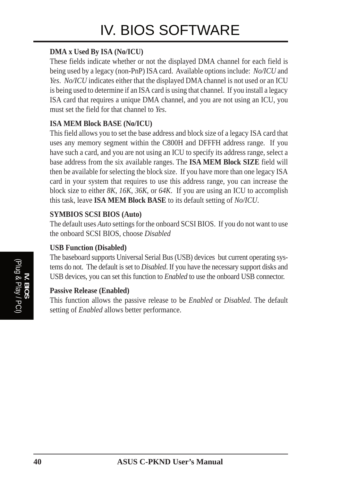#### **DMA x Used By ISA (No/ICU)**

These fields indicate whether or not the displayed DMA channel for each field is being used by a legacy (non-PnP) ISA card. Available options include: *No/ICU* and *Yes*. *No/ICU* indicates either that the displayed DMA channel is not used or an ICU is being used to determine if an ISA card is using that channel. If you install a legacy ISA card that requires a unique DMA channel, and you are not using an ICU, you must set the field for that channel to *Yes*.

#### **ISA MEM Block BASE (No/ICU)**

This field allows you to set the base address and block size of a legacy ISA card that uses any memory segment within the C800H and DFFFH address range. If you have such a card, and you are not using an ICU to specify its address range, select a base address from the six available ranges. The **ISA MEM Block SIZE** field will then be available for selecting the block size. If you have more than one legacy ISA card in your system that requires to use this address range, you can increase the block size to either *8K*, *16K*, *36K*, or *64K*. If you are using an ICU to accomplish this task, leave **ISA MEM Block BASE** to its default setting of *No/ICU*.

#### **SYMBIOS SCSI BIOS (Auto)**

The default uses *Auto* settings for the onboard SCSI BIOS. If you do not want to use the onboard SCSI BIOS, choose *Disabled*

#### **USB Function (Disabled)**

The baseboard supports Universal Serial Bus (USB) devices but current operating systems do not. The default is set to *Disabled*. If you have the necessary support disks and USB devices, you can set this function to *Enabled* to use the onboard USB connector.

#### **Passive Release (Enabled)**

This function allows the passive release to be *Enabled* or *Disabled*. The default setting of *Enabled* allows better performance.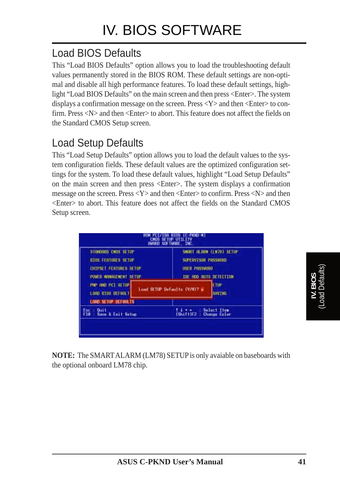## Load BIOS Defaults

This "Load BIOS Defaults" option allows you to load the troubleshooting default values permanently stored in the BIOS ROM. These default settings are non-optimal and disable all high performance features. To load these default settings, highlight "Load BIOS Defaults" on the main screen and then press <Enter>. The system displays a confirmation message on the screen. Press  $\langle Y \rangle$  and then  $\langle$ Enter $\rangle$  to confirm. Press <N> and then <Enter> to abort. This feature does not affect the fields on the Standard CMOS Setup screen.

## Load Setup Defaults

This "Load Setup Defaults" option allows you to load the default values to the system configuration fields. These default values are the optimized configuration settings for the system. To load these default values, highlight "Load Setup Defaults" on the main screen and then press <Enter>. The system displays a confirmation message on the screen. Press <Y> and then <Enter> to confirm. Press <N> and then <Enter> to abort. This feature does not affect the fields on the Standard CMOS Setup screen.

| STONDARD CHOS SETUP                            | SMORT DLARM (LN78) SETUP.                      |
|------------------------------------------------|------------------------------------------------|
| <b>810S FEATURES SETUP</b>                     | SUPERVISOR PASSHORD                            |
| CHIPSET FEATURES SETUP                         | <b>USER PRSSHOHO</b>                           |
| <b><i>ROWER MANAGEMENT SETUP</i></b>           | TOE HOD AUTO DETECTION                         |
| FOR THE PCT SETUP                              | <b>ETIP</b>                                    |
| <b>LOAD BIOS DEFINILT</b>                      | Load SETUP Defaults (V/N)? o                   |
| <b>LOOD SETUP DEFAULTS</b>                     | <b>SAVING</b>                                  |
| <b>Ouit</b><br>Esc.<br>F10 : Savo & Exit Setup | <b>Select Item</b><br>(Shift)F2 : Change Color |

**NOTE:** The SMART ALARM (LM78) SETUP is only avaiable on baseboards with the optional onboard LM78 chip.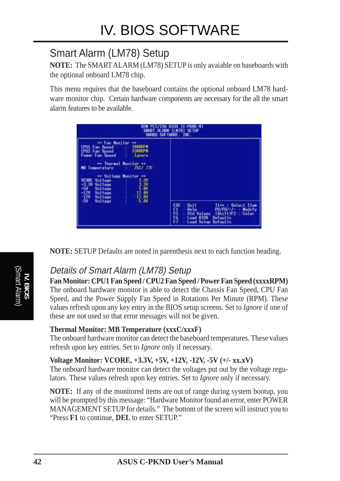## Smart Alarm (LM78) Setup

**NOTE:** The SMART ALARM (LM78) SETUP is only avaiable on baseboards with the optional onboard LM78 chip.

This menu requires that the baseboard contains the optional onboard LM78 hardware monitor chip. Certain hardware components are necessary for the all the smart alarm features to be available.



**NOTE:** SETUP Defaults are noted in parenthesis next to each function heading.

### Details of Smart Alarm (LM78) Setup

**Fan Monitor: CPU1 Fan Speed / CPU2 Fan Speed / Power Fan Speed (xxxxRPM)** The onboard hardware monitor is able to detect the Chassis Fan Speed, CPU Fan Speed, and the Power Supply Fan Speed in Rotations Per Minute (RPM). These values refresh upon any key entry in the BIOS setup screens. Set to *Ignore* if one of these are not used so that error messages will not be given.

#### **Thermal Monitor: MB Temperature (xxxC/xxxF)**

The onboard hardware monitor can detect the baseboard temperatures. These values refresh upon key entries. Set to *Ignore* only if necessary.

#### **Voltage Monitor: VCORE, +3.3V, +5V, +12V, -12V, -5V (+/- xx.xV)**

The onboard hardware monitor can detect the voltages put out by the voltage regulators. These values refresh upon key entries. Set to *Ignore* only if necessary.

**NOTE:** If any of the monitored items are out of range during system bootup, you will be prompted by this message: "Hardware Monitor found an error, enter POWER MANAGEMENT SETUP for details." The bottom of the screen will instruct you to "Press **F1** to continue, **DEL** to enter SETUP."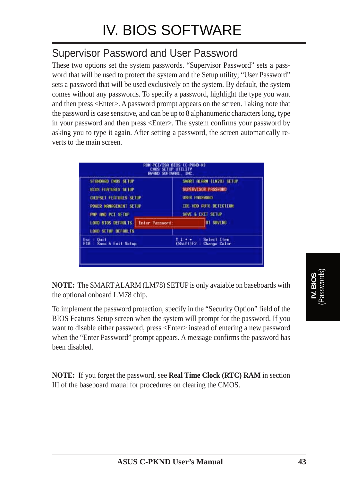### Supervisor Password and User Password

These two options set the system passwords. "Supervisor Password" sets a password that will be used to protect the system and the Setup utility; "User Password" sets a password that will be used exclusively on the system. By default, the system comes without any passwords. To specify a password, highlight the type you want and then press <Enter>. A password prompt appears on the screen. Taking note that the password is case sensitive, and can be up to 8 alphanumeric characters long, type in your password and then press <Enter>. The system confirms your password by asking you to type it again. After setting a password, the screen automatically reverts to the main screen.

|                                                                                                                                   | <b>CHOS SETLE</b><br><b>ANARD SOFTWARE, INC.</b> | BIOS (C-PKND-N)<br><b>BITTETTY</b>                                                                                     |
|-----------------------------------------------------------------------------------------------------------------------------------|--------------------------------------------------|------------------------------------------------------------------------------------------------------------------------|
| STONDARD CHOS SETUP<br><b>810S FEATURES SETUP</b><br>CHIPSET FEATURES SETUP<br><b>POWER NRNAGENENT SETUP</b><br>FOR THE RET SETUP |                                                  | SHART ALARM (LH78) SETUP<br>SUPERVISOR PRSSHORD<br><b>USER PRSSHORD</b><br>TOE HOD AUTO DETECTION<br>SAVE & EXIT SETUP |
| <b>LOAD 810S DEFAULTS.</b><br>LOOD SETUP DEFAILER                                                                                 | Enter Password:                                  | <b>UT SHVING</b>                                                                                                       |
| <b>Ouit</b><br>Save & Exit Setup                                                                                                  |                                                  | Select Item<br>(Shift)F2 : Change Color                                                                                |
|                                                                                                                                   |                                                  |                                                                                                                        |

**NOTE:** The SMART ALARM (LM78) SETUP is only avaiable on baseboards with the optional onboard LM78 chip.

To implement the password protection, specify in the "Security Option" field of the BIOS Features Setup screen when the system will prompt for the password. If you want to disable either password, press <Enter> instead of entering a new password when the "Enter Password" prompt appears. A message confirms the password has been disabled.

**NOTE:** If you forget the password, see **Real Time Clock (RTC) RAM** in section III of the baseboard maual for procedures on clearing the CMOS.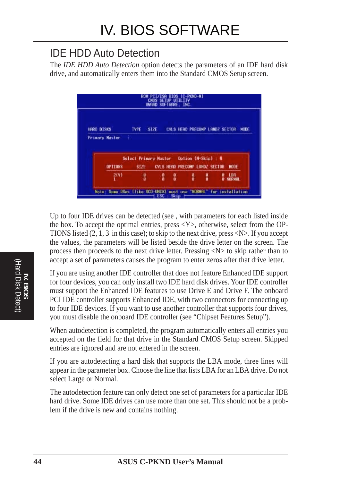### IDE HDD Auto Detection

The *IDE HDD Auto Detection* option detects the parameters of an IDE hard disk drive, and automatically enters them into the Standard CMOS Setup screen.



Up to four IDE drives can be detected (see , with parameters for each listed inside the box. To accept the optimal entries, press  $\langle Y \rangle$ , otherwise, select from the OP-TIONS listed  $(2, 1, 3$  in this case); to skip to the next drive, press  $\langle N \rangle$ . If you accept the values, the parameters will be listed beside the drive letter on the screen. The process then proceeds to the next drive letter. Pressing  $\langle N \rangle$  to skip rather than to accept a set of parameters causes the program to enter zeros after that drive letter.

If you are using another IDE controller that does not feature Enhanced IDE support for four devices, you can only install two IDE hard disk drives. Your IDE controller must support the Enhanced IDE features to use Drive E and Drive F. The onboard PCI IDE controller supports Enhanced IDE, with two connectors for connecting up to four IDE devices. If you want to use another controller that supports four drives, you must disable the onboard IDE controller (see "Chipset Features Setup").

When autodetection is completed, the program automatically enters all entries you accepted on the field for that drive in the Standard CMOS Setup screen. Skipped entries are ignored and are not entered in the screen.

If you are autodetecting a hard disk that supports the LBA mode, three lines will appear in the parameter box. Choose the line that lists LBA for an LBA drive. Do not select Large or Normal.

The autodetection feature can only detect one set of parameters for a particular IDE hard drive. Some IDE drives can use more than one set. This should not be a problem if the drive is new and contains nothing.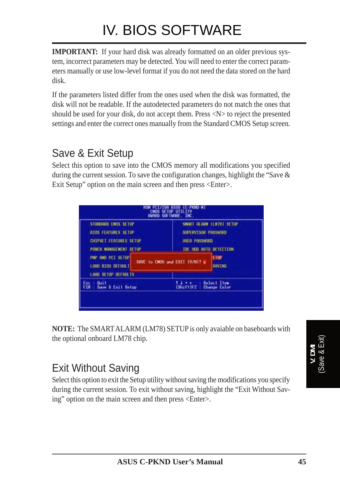# IV. BIOS SOFTWARE

**IMPORTANT:** If your hard disk was already formatted on an older previous system, incorrect parameters may be detected. You will need to enter the correct parameters manually or use low-level format if you do not need the data stored on the hard disk.

If the parameters listed differ from the ones used when the disk was formatted, the disk will not be readable. If the autodetected parameters do not match the ones that should be used for your disk, do not accept them. Press <N> to reject the presented settings and enter the correct ones manually from the Standard CMOS Setup screen.

## Save & Exit Setup

Select this option to save into the CMOS memory all modifications you specified during the current session. To save the configuration changes, highlight the "Save & Exit Setup" option on the main screen and then press <Enter>.

| STANDARD CMDS SETUP<br><b>BTOS FEATURES SETUP</b><br>CHIPSET FEATURES SETUP<br>POWER MANAGEMENT SETUP | SMART REARN (LN78) SETUP<br>SUPERVISOR PASSNORD<br><b>USER PRSSHORD</b><br>TOE HOD AUTO DETECTION |                                           |
|-------------------------------------------------------------------------------------------------------|---------------------------------------------------------------------------------------------------|-------------------------------------------|
| <b>PMP AND PCI SETUP</b><br>LORD BIDS DEFAULT<br>LOAD SETUP DETAILTS                                  | SRVE to CHOS and EXIT (V/M)? u                                                                    | <b>FTUP</b><br><b>SAVING</b>              |
| <b>Buit</b><br><b>Fl0 - Save &amp; Exit Setup</b>                                                     | (Shift)F2                                                                                         | <b>Select Item</b><br><b>Change Color</b> |

**NOTE:** The SMART ALARM (LM78) SETUP is only avaiable on baseboards with the optional onboard LM78 chip.

## Exit Without Saving

Select this option to exit the Setup utility without saving the modifications you specify during the current session. To exit without saving, highlight the "Exit Without Saving" option on the main screen and then press <Enter>.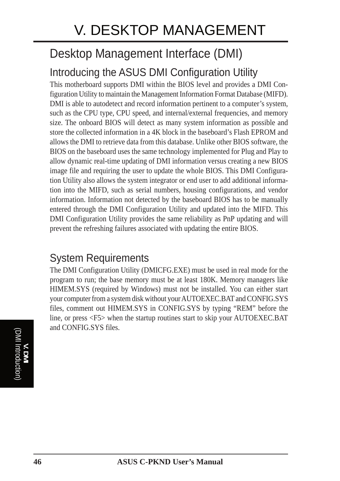# Desktop Management Interface (DMI)

# Introducing the ASUS DMI Configuration Utility

This motherboard supports DMI within the BIOS level and provides a DMI Configuration Utility to maintain the Management Information Format Database (MIFD). DMI is able to autodetect and record information pertinent to a computer's system, such as the CPU type, CPU speed, and internal/external frequencies, and memory size. The onboard BIOS will detect as many system information as possible and store the collected information in a 4K block in the baseboard's Flash EPROM and allows the DMI to retrieve data from this database. Unlike other BIOS software, the BIOS on the baseboard uses the same technology implemented for Plug and Play to allow dynamic real-time updating of DMI information versus creating a new BIOS image file and requiring the user to update the whole BIOS. This DMI Configuration Utility also allows the system integrator or end user to add additional information into the MIFD, such as serial numbers, housing configurations, and vendor information. Information not detected by the baseboard BIOS has to be manually entered through the DMI Configuration Utility and updated into the MIFD. This DMI Configuration Utility provides the same reliability as PnP updating and will prevent the refreshing failures associated with updating the entire BIOS.

### System Requirements

The DMI Configuration Utility (DMICFG.EXE) must be used in real mode for the program to run; the base memory must be at least 180K. Memory managers like HIMEM.SYS (required by Windows) must not be installed. You can either start your computer from a system disk without your AUTOEXEC.BAT and CONFIG.SYS files, comment out HIMEM.SYS in CONFIG.SYS by typing "REM" before the line, or press <F5> when the startup routines start to skip your AUTOEXEC.BAT and CONFIG.SYS files.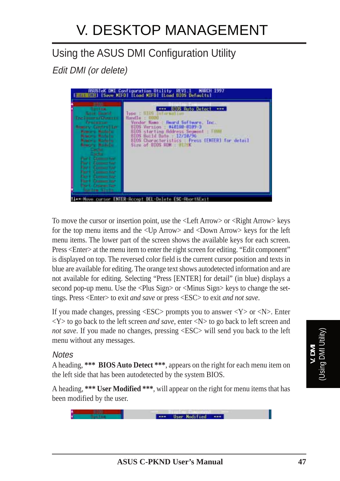# Using the ASUS DMI Configuration Utility

Edit DMI (or delete)



To move the cursor or insertion point, use the <Left Arrow> or <Right Arrow> keys for the top menu items and the <Up Arrow> and <Down Arrow> keys for the left menu items. The lower part of the screen shows the available keys for each screen. Press <Enter> at the menu item to enter the right screen for editing. "Edit component" is displayed on top. The reversed color field is the current cursor position and texts in blue are available for editing. The orange text shows autodetected information and are not available for editing. Selecting "Press [ENTER] for detail" (in blue) displays a second pop-up menu. Use the <Plus Sign> or <Minus Sign> keys to change the settings. Press <Enter> to exit *and save* or press <ESC> to exit *and not save*.

If you made changes, pressing  $\langle ESC \rangle$  prompts you to answer  $\langle Y \rangle$  or  $\langle N \rangle$ . Enter  $\langle Y \rangle$  to go back to the left screen *and save*, enter  $\langle N \rangle$  to go back to left screen and *not save*. If you made no changes, pressing <ESC> will send you back to the left menu without any messages.

#### **Notes**

A heading, **\*\*\* BIOS Auto Detect \*\*\***, appears on the right for each menu item on the left side that has been autodetected by the system BIOS.

A heading, **\*\*\* User Modified \*\*\***, will appear on the right for menu items that has been modified by the user.